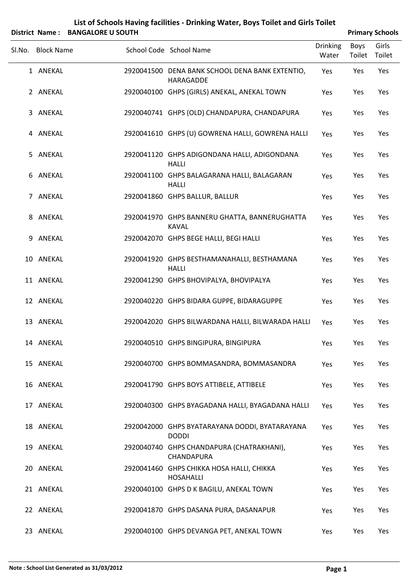|        |                   | District Name: BANGALORE U SOUTH |                                                                |                          |                | <b>Primary Schools</b> |
|--------|-------------------|----------------------------------|----------------------------------------------------------------|--------------------------|----------------|------------------------|
| SI.No. | <b>Block Name</b> |                                  | School Code School Name                                        | <b>Drinking</b><br>Water | Boys<br>Toilet | Girls<br>Toilet        |
|        | 1 ANEKAL          |                                  | 2920041500 DENA BANK SCHOOL DENA BANK EXTENTIO,<br>HARAGADDE   | Yes                      | Yes            | Yes                    |
|        | 2 ANEKAL          |                                  | 2920040100 GHPS (GIRLS) ANEKAL, ANEKAL TOWN                    | Yes                      | Yes            | Yes                    |
|        | 3 ANEKAL          |                                  | 2920040741 GHPS (OLD) CHANDAPURA, CHANDAPURA                   | Yes                      | Yes            | Yes                    |
|        | 4 ANEKAL          |                                  | 2920041610 GHPS (U) GOWRENA HALLI, GOWRENA HALLI               | Yes                      | Yes            | Yes                    |
|        | 5 ANEKAL          |                                  | 2920041120 GHPS ADIGONDANA HALLI, ADIGONDANA<br><b>HALLI</b>   | Yes                      | Yes            | Yes                    |
|        | 6 ANEKAL          |                                  | 2920041100 GHPS BALAGARANA HALLI, BALAGARAN<br><b>HALLI</b>    | Yes                      | Yes            | Yes                    |
|        | 7 ANEKAL          |                                  | 2920041860 GHPS BALLUR, BALLUR                                 | Yes                      | Yes            | Yes                    |
|        | 8 ANEKAL          |                                  | 2920041970 GHPS BANNERU GHATTA, BANNERUGHATTA<br><b>KAVAL</b>  | Yes                      | Yes            | Yes                    |
| 9      | ANEKAL            |                                  | 2920042070 GHPS BEGE HALLI, BEGI HALLI                         | Yes                      | Yes            | Yes                    |
|        | 10 ANEKAL         |                                  | 2920041920 GHPS BESTHAMANAHALLI, BESTHAMANA<br><b>HALLI</b>    | Yes                      | Yes            | Yes                    |
|        | 11 ANEKAL         |                                  | 2920041290 GHPS BHOVIPALYA, BHOVIPALYA                         | Yes                      | Yes            | Yes                    |
|        | 12 ANEKAL         |                                  | 2920040220 GHPS BIDARA GUPPE, BIDARAGUPPE                      | Yes                      | Yes            | Yes                    |
|        | 13 ANEKAL         |                                  | 2920042020 GHPS BILWARDANA HALLI, BILWARADA HALLI              | Yes                      | Yes            | Yes                    |
|        | 14 ANEKAL         |                                  | 2920040510 GHPS BINGIPURA, BINGIPURA                           | Yes                      | Yes            | Yes                    |
|        | 15 ANEKAL         |                                  | 2920040700 GHPS BOMMASANDRA, BOMMASANDRA                       | Yes                      | Yes            | Yes                    |
|        | 16 ANEKAL         |                                  | 2920041790 GHPS BOYS ATTIBELE, ATTIBELE                        | Yes                      | Yes            | Yes                    |
|        | 17 ANEKAL         |                                  | 2920040300 GHPS BYAGADANA HALLI, BYAGADANA HALLI               | Yes                      | Yes            | Yes                    |
|        | 18 ANEKAL         |                                  | 2920042000 GHPS BYATARAYANA DODDI, BYATARAYANA<br><b>DODDI</b> | Yes                      | Yes            | Yes                    |
|        | 19 ANEKAL         |                                  | 2920040740 GHPS CHANDAPURA (CHATRAKHANI),<br>CHANDAPURA        | Yes                      | Yes            | Yes                    |
|        | 20 ANEKAL         |                                  | 2920041460 GHPS CHIKKA HOSA HALLI, CHIKKA<br><b>HOSAHALLI</b>  | Yes                      | Yes            | Yes                    |
|        | 21 ANEKAL         |                                  | 2920040100 GHPS D K BAGILU, ANEKAL TOWN                        | Yes                      | Yes            | Yes                    |
|        | 22 ANEKAL         |                                  | 2920041870 GHPS DASANA PURA, DASANAPUR                         | Yes                      | Yes            | Yes                    |
|        | 23 ANEKAL         |                                  | 2920040100 GHPS DEVANGA PET, ANEKAL TOWN                       | Yes                      | Yes            | Yes                    |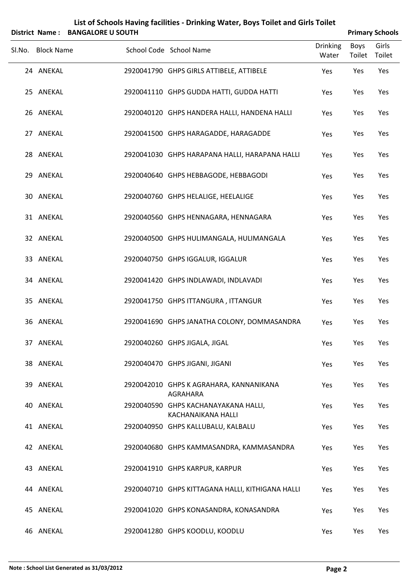|                   | District Name: BANGALORE U SOUTH |                                                            |                          |                       | <b>Primary Schools</b> |
|-------------------|----------------------------------|------------------------------------------------------------|--------------------------|-----------------------|------------------------|
| Sl.No. Block Name |                                  | School Code School Name                                    | <b>Drinking</b><br>Water | <b>Boys</b><br>Toilet | Girls<br>Toilet        |
| 24 ANEKAL         |                                  | 2920041790 GHPS GIRLS ATTIBELE, ATTIBELE                   | Yes                      | Yes                   | Yes                    |
| 25 ANEKAL         |                                  | 2920041110 GHPS GUDDA HATTI, GUDDA HATTI                   | Yes                      | Yes                   | Yes                    |
| 26 ANEKAL         |                                  | 2920040120 GHPS HANDERA HALLI, HANDENA HALLI               | Yes                      | Yes                   | Yes                    |
| 27 ANEKAL         |                                  | 2920041500 GHPS HARAGADDE, HARAGADDE                       | Yes                      | Yes                   | Yes                    |
| 28 ANEKAL         |                                  | 2920041030 GHPS HARAPANA HALLI, HARAPANA HALLI             | Yes                      | Yes                   | Yes                    |
| 29 ANEKAL         |                                  | 2920040640 GHPS HEBBAGODE, HEBBAGODI                       | Yes                      | Yes                   | Yes                    |
| 30 ANEKAL         |                                  | 2920040760 GHPS HELALIGE, HEELALIGE                        | Yes                      | Yes                   | Yes                    |
| 31 ANEKAL         |                                  | 2920040560 GHPS HENNAGARA, HENNAGARA                       | Yes                      | Yes                   | Yes                    |
| 32 ANEKAL         |                                  | 2920040500 GHPS HULIMANGALA, HULIMANGALA                   | Yes                      | Yes                   | Yes                    |
| 33 ANEKAL         |                                  | 2920040750 GHPS IGGALUR, IGGALUR                           | Yes                      | Yes                   | Yes                    |
| 34 ANEKAL         |                                  | 2920041420 GHPS INDLAWADI, INDLAVADI                       | Yes                      | Yes                   | Yes                    |
| 35 ANEKAL         |                                  | 2920041750 GHPS ITTANGURA, ITTANGUR                        | Yes                      | Yes                   | Yes                    |
| 36 ANEKAL         |                                  | 2920041690 GHPS JANATHA COLONY, DOMMASANDRA                | Yes                      | Yes                   | Yes                    |
| 37 ANEKAL         |                                  | 2920040260 GHPS JIGALA, JIGAL                              | Yes                      | Yes                   | Yes                    |
| 38 ANEKAL         |                                  | 2920040470 GHPS JIGANI, JIGANI                             | Yes                      | Yes                   | Yes                    |
| 39 ANEKAL         |                                  | 2920042010 GHPS K AGRAHARA, KANNANIKANA<br>AGRAHARA        | Yes                      | Yes                   | Yes                    |
| 40 ANEKAL         |                                  | 2920040590 GHPS KACHANAYAKANA HALLI,<br>KACHANAIKANA HALLI | Yes                      | Yes                   | Yes                    |
| 41 ANEKAL         |                                  | 2920040950 GHPS KALLUBALU, KALBALU                         | Yes                      | Yes                   | Yes                    |
| 42 ANEKAL         |                                  | 2920040680 GHPS KAMMASANDRA, KAMMASANDRA                   | Yes                      | Yes                   | Yes                    |
| 43 ANEKAL         |                                  | 2920041910 GHPS KARPUR, KARPUR                             | Yes                      | Yes                   | Yes                    |
| 44 ANEKAL         |                                  | 2920040710 GHPS KITTAGANA HALLI, KITHIGANA HALLI           | Yes                      | Yes                   | Yes                    |
| 45 ANEKAL         |                                  | 2920041020 GHPS KONASANDRA, KONASANDRA                     | Yes                      | Yes                   | Yes                    |
| 46 ANEKAL         |                                  | 2920041280 GHPS KOODLU, KOODLU                             | Yes                      | Yes                   | Yes                    |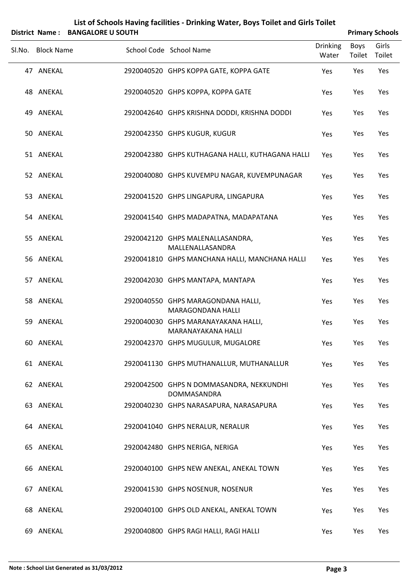| List of Schools Having facilities - Drinking Water, Boys Toilet and Girls Toilet<br><b>BANGALORE U SOUTH</b><br><b>District Name:</b> |                   |  |                                                           |                          |                | <b>Primary Schools</b> |
|---------------------------------------------------------------------------------------------------------------------------------------|-------------------|--|-----------------------------------------------------------|--------------------------|----------------|------------------------|
|                                                                                                                                       | Sl.No. Block Name |  | School Code School Name                                   | <b>Drinking</b><br>Water | Boys<br>Toilet | Girls<br>Toilet        |
|                                                                                                                                       | 47 ANEKAL         |  | 2920040520 GHPS KOPPA GATE, KOPPA GATE                    | Yes                      | Yes            | Yes                    |
|                                                                                                                                       | 48 ANEKAL         |  | 2920040520 GHPS KOPPA, KOPPA GATE                         | Yes                      | Yes            | Yes                    |
|                                                                                                                                       | 49 ANEKAL         |  | 2920042640 GHPS KRISHNA DODDI, KRISHNA DODDI              | Yes                      | Yes            | Yes                    |
|                                                                                                                                       | 50 ANEKAL         |  | 2920042350 GHPS KUGUR, KUGUR                              | Yes                      | Yes            | Yes                    |
|                                                                                                                                       | 51 ANEKAL         |  | 2920042380 GHPS KUTHAGANA HALLI, KUTHAGANA HALLI          | Yes                      | Yes            | Yes                    |
|                                                                                                                                       | 52 ANEKAL         |  | 2920040080 GHPS KUVEMPU NAGAR, KUVEMPUNAGAR               | Yes                      | Yes            | Yes                    |
|                                                                                                                                       | 53 ANEKAL         |  | 2920041520 GHPS LINGAPURA, LINGAPURA                      | Yes                      | Yes            | Yes                    |
|                                                                                                                                       | 54 ANEKAL         |  | 2920041540 GHPS MADAPATNA, MADAPATANA                     | Yes                      | Yes            | Yes                    |
|                                                                                                                                       | 55 ANEKAL         |  | 2920042120 GHPS MALENALLASANDRA,<br>MALLENALLASANDRA      | Yes                      | Yes            | Yes                    |
|                                                                                                                                       | 56 ANEKAL         |  | 2920041810 GHPS MANCHANA HALLI, MANCHANA HALLI            | Yes                      | Yes            | Yes                    |
|                                                                                                                                       | 57 ANEKAL         |  | 2920042030 GHPS MANTAPA, MANTAPA                          | Yes                      | Yes            | Yes                    |
|                                                                                                                                       | 58 ANEKAL         |  | 2920040550 GHPS MARAGONDANA HALLI,<br>MARAGONDANA HALLI   | Yes                      | Yes            | Yes                    |
|                                                                                                                                       | 59 ANEKAL         |  | 2920040030 GHPS MARANAYAKANA HALLI,<br>MARANAYAKANA HALLI | Yes                      | Yes            | Yes                    |
|                                                                                                                                       | 60 ANEKAL         |  | 2920042370 GHPS MUGULUR, MUGALORE                         | Yes                      | Yes            | Yes                    |
|                                                                                                                                       | 61 ANEKAL         |  | 2920041130 GHPS MUTHANALLUR, MUTHANALLUR                  | Yes                      | Yes            | Yes                    |
|                                                                                                                                       | 62 ANEKAL         |  | 2920042500 GHPS N DOMMASANDRA, NEKKUNDHI<br>DOMMASANDRA   | Yes                      | Yes            | Yes                    |
|                                                                                                                                       | 63 ANEKAL         |  | 2920040230 GHPS NARASAPURA, NARASAPURA                    | Yes                      | Yes            | Yes                    |
|                                                                                                                                       | 64 ANEKAL         |  | 2920041040 GHPS NERALUR, NERALUR                          | Yes                      | Yes            | Yes                    |
|                                                                                                                                       | 65 ANEKAL         |  | 2920042480 GHPS NERIGA, NERIGA                            | Yes                      | Yes            | Yes                    |
|                                                                                                                                       | 66 ANEKAL         |  | 2920040100 GHPS NEW ANEKAL, ANEKAL TOWN                   | Yes                      | Yes            | Yes                    |
|                                                                                                                                       | 67 ANEKAL         |  | 2920041530 GHPS NOSENUR, NOSENUR                          | Yes                      | Yes            | Yes                    |
|                                                                                                                                       | 68 ANEKAL         |  | 2920040100 GHPS OLD ANEKAL, ANEKAL TOWN                   | Yes                      | Yes            | Yes                    |
|                                                                                                                                       | 69 ANEKAL         |  | 2920040800 GHPS RAGI HALLI, RAGI HALLI                    | Yes                      | Yes            | Yes                    |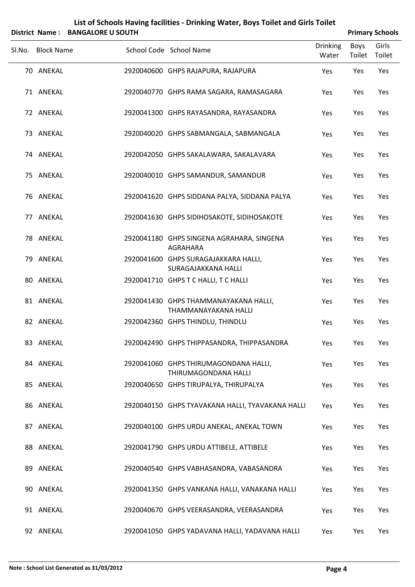|        |                   | District Name: BANGALORE U SOUTH |                                                               |                          |                       | <b>Primary Schools</b> |
|--------|-------------------|----------------------------------|---------------------------------------------------------------|--------------------------|-----------------------|------------------------|
| SI.No. | <b>Block Name</b> |                                  | School Code School Name                                       | <b>Drinking</b><br>Water | <b>Boys</b><br>Toilet | Girls<br>Toilet        |
|        | 70 ANEKAL         |                                  | 2920040600 GHPS RAJAPURA, RAJAPURA                            | Yes                      | Yes                   | Yes                    |
|        | 71 ANEKAL         |                                  | 2920040770 GHPS RAMA SAGARA, RAMASAGARA                       | Yes                      | Yes                   | Yes                    |
|        | 72 ANEKAL         |                                  | 2920041300 GHPS RAYASANDRA, RAYASANDRA                        | Yes                      | Yes                   | Yes                    |
|        | 73 ANEKAL         |                                  | 2920040020 GHPS SABMANGALA, SABMANGALA                        | Yes                      | Yes                   | Yes                    |
|        | 74 ANEKAL         |                                  | 2920042050 GHPS SAKALAWARA, SAKALAVARA                        | Yes                      | Yes                   | Yes                    |
|        | 75 ANEKAL         |                                  | 2920040010 GHPS SAMANDUR, SAMANDUR                            | Yes                      | Yes                   | Yes                    |
|        | 76 ANEKAL         |                                  | 2920041620 GHPS SIDDANA PALYA, SIDDANA PALYA                  | Yes                      | Yes                   | Yes                    |
|        | 77 ANEKAL         |                                  | 2920041630 GHPS SIDIHOSAKOTE, SIDIHOSAKOTE                    | Yes                      | Yes                   | Yes                    |
|        | 78 ANEKAL         |                                  | 2920041180 GHPS SINGENA AGRAHARA, SINGENA<br>AGRAHARA         | Yes                      | Yes                   | Yes                    |
|        | 79 ANEKAL         |                                  | 2920041600 GHPS SURAGAJAKKARA HALLI,<br>SURAGAJAKKANA HALLI   | Yes                      | Yes                   | Yes                    |
|        | 80 ANEKAL         |                                  | 2920041710 GHPS T C HALLI, T C HALLI                          | Yes                      | Yes                   | Yes                    |
|        | 81 ANEKAL         |                                  | 2920041430 GHPS THAMMANAYAKANA HALLI,<br>THAMMANAYAKANA HALLI | Yes                      | Yes                   | Yes                    |
|        | 82 ANEKAL         |                                  | 2920042360 GHPS THINDLU, THINDLU                              | Yes                      | Yes                   | Yes                    |
|        | 83 ANEKAL         |                                  | 2920042490 GHPS THIPPASANDRA, THIPPASANDRA                    | Yes                      | Yes                   | Yes                    |
|        | 84 ANEKAL         |                                  | 2920041060 GHPS THIRUMAGONDANA HALLI,<br>THIRUMAGONDANA HALLI | Yes                      | Yes                   | Yes                    |
|        | 85 ANEKAL         |                                  | 2920040650 GHPS TIRUPALYA, THIRUPALYA                         | Yes                      | Yes                   | Yes                    |
|        | 86 ANEKAL         |                                  | 2920040150 GHPS TYAVAKANA HALLI, TYAVAKANA HALLI              | Yes                      | Yes                   | Yes                    |
|        | 87 ANEKAL         |                                  | 2920040100 GHPS URDU ANEKAL, ANEKAL TOWN                      | Yes                      | Yes                   | Yes                    |
|        | 88 ANEKAL         |                                  | 2920041790 GHPS URDU ATTIBELE, ATTIBELE                       | Yes                      | Yes                   | Yes                    |
|        | 89 ANEKAL         |                                  | 2920040540 GHPS VABHASANDRA, VABASANDRA                       | Yes                      | Yes                   | Yes                    |
|        | 90 ANEKAL         |                                  | 2920041350 GHPS VANKANA HALLI, VANAKANA HALLI                 | Yes                      | Yes                   | Yes                    |
|        | 91 ANEKAL         |                                  | 2920040670 GHPS VEERASANDRA, VEERASANDRA                      | Yes                      | Yes                   | Yes                    |
|        | 92 ANEKAL         |                                  | 2920041050 GHPS YADAVANA HALLI, YADAVANA HALLI                | Yes                      | Yes                   | Yes                    |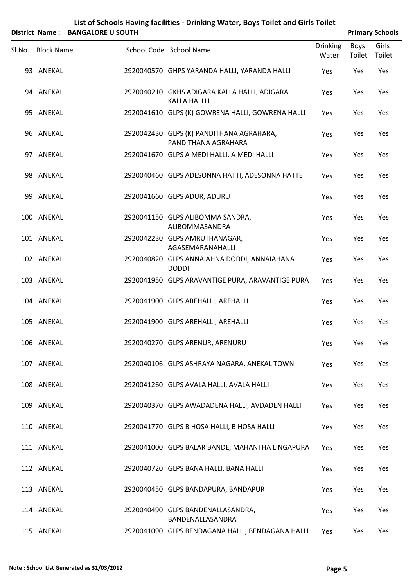|        |                          | District Name: BANGALORE U SOUTH |                                                                                         |                          |                | <b>Primary Schools</b> |  |
|--------|--------------------------|----------------------------------|-----------------------------------------------------------------------------------------|--------------------------|----------------|------------------------|--|
| Sl.No. | <b>Block Name</b>        |                                  | School Code School Name                                                                 | <b>Drinking</b><br>Water | Boys<br>Toilet | Girls<br>Toilet        |  |
|        | 93 ANEKAL                |                                  | 2920040570 GHPS YARANDA HALLI, YARANDA HALLI                                            | Yes                      | Yes            | Yes                    |  |
|        | 94 ANEKAL                |                                  | 2920040210 GKHS ADIGARA KALLA HALLI, ADIGARA<br><b>KALLA HALLLI</b>                     | Yes                      | Yes            | Yes                    |  |
|        | 95 ANEKAL                |                                  | 2920041610 GLPS (K) GOWRENA HALLI, GOWRENA HALLI                                        | Yes                      | Yes            | Yes                    |  |
|        | 96 ANEKAL                |                                  | 2920042430 GLPS (K) PANDITHANA AGRAHARA,<br>PANDITHANA AGRAHARA                         | Yes                      | Yes            | Yes                    |  |
|        | 97 ANEKAL                |                                  | 2920041670 GLPS A MEDI HALLI, A MEDI HALLI                                              | Yes                      | Yes            | Yes                    |  |
|        | 98 ANEKAL                |                                  | 2920040460 GLPS ADESONNA HATTI, ADESONNA HATTE                                          | Yes                      | Yes            | Yes                    |  |
|        | 99 ANEKAL                |                                  | 2920041660 GLPS ADUR, ADURU                                                             | Yes                      | Yes            | Yes                    |  |
|        | 100 ANEKAL               |                                  | 2920041150 GLPS ALIBOMMA SANDRA,<br>ALIBOMMASANDRA                                      | Yes                      | Yes            | Yes                    |  |
|        | 101 ANEKAL               |                                  | 2920042230 GLPS AMRUTHANAGAR,<br>AGASEMARANAHALLI                                       | Yes                      | Yes            | Yes                    |  |
|        | 102 ANEKAL               |                                  | 2920040820 GLPS ANNAIAHNA DODDI, ANNAIAHANA<br><b>DODDI</b>                             | Yes                      | Yes            | Yes                    |  |
|        | 103 ANEKAL               |                                  | 2920041950 GLPS ARAVANTIGE PURA, ARAVANTIGE PURA                                        | Yes                      | Yes            | Yes                    |  |
|        | 104 ANEKAL               |                                  | 2920041900 GLPS AREHALLI, AREHALLI                                                      | Yes                      | Yes            | Yes                    |  |
|        | 105 ANEKAL               |                                  | 2920041900 GLPS AREHALLI, AREHALLI                                                      | Yes                      | Yes            | Yes                    |  |
|        | 106 ANEKAL               |                                  | 2920040270 GLPS ARENUR, ARENURU                                                         | Yes                      | Yes            | Yes                    |  |
|        | 107 ANEKAL<br>108 ANEKAL |                                  | 2920040106 GLPS ASHRAYA NAGARA, ANEKAL TOWN<br>2920041260 GLPS AVALA HALLI, AVALA HALLI | Yes                      | Yes<br>Yes     | Yes<br>Yes             |  |
|        | 109 ANEKAL               |                                  | 2920040370 GLPS AWADADENA HALLI, AVDADEN HALLI                                          | Yes<br>Yes               | Yes            | Yes                    |  |
|        | 110 ANEKAL               |                                  | 2920041770 GLPS B HOSA HALLI, B HOSA HALLI                                              | Yes                      | Yes            | Yes                    |  |
|        | 111 ANEKAL               |                                  | 2920041000 GLPS BALAR BANDE, MAHANTHA LINGAPURA                                         | Yes                      | Yes            | Yes                    |  |
|        | 112 ANEKAL               |                                  | 2920040720 GLPS BANA HALLI, BANA HALLI                                                  | Yes                      | Yes            | Yes                    |  |
|        | 113 ANEKAL               |                                  | 2920040450 GLPS BANDAPURA, BANDAPUR                                                     | Yes                      | Yes            | Yes                    |  |
|        | 114 ANEKAL               |                                  | 2920040490 GLPS BANDENALLASANDRA,                                                       | Yes                      | Yes            | Yes                    |  |
|        |                          |                                  | BANDENALLASANDRA                                                                        |                          |                |                        |  |

115 ANEKAL 2920041090 GLPS BENDAGANA HALLI, BENDAGANA HALLI Yes Yes Yes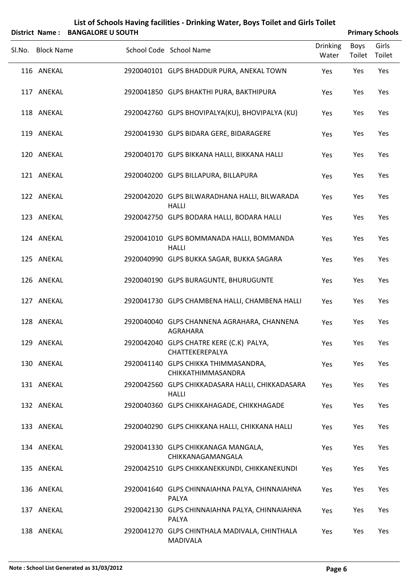|                   | District Name: BANGALORE U SOUTH |                                                                  |                          |                       | <b>Primary Schools</b> |
|-------------------|----------------------------------|------------------------------------------------------------------|--------------------------|-----------------------|------------------------|
| Sl.No. Block Name |                                  | School Code School Name                                          | <b>Drinking</b><br>Water | <b>Boys</b><br>Toilet | Girls<br>Toilet        |
| 116 ANEKAL        |                                  | 2920040101 GLPS BHADDUR PURA, ANEKAL TOWN                        | Yes                      | Yes                   | Yes                    |
| 117 ANEKAL        |                                  | 2920041850 GLPS BHAKTHI PURA, BAKTHIPURA                         | Yes                      | Yes                   | Yes                    |
| 118 ANEKAL        |                                  | 2920042760 GLPS BHOVIPALYA(KU), BHOVIPALYA (KU)                  | Yes                      | Yes                   | Yes                    |
| 119 ANEKAL        |                                  | 2920041930 GLPS BIDARA GERE, BIDARAGERE                          | Yes                      | Yes                   | Yes                    |
| 120 ANEKAL        |                                  | 2920040170 GLPS BIKKANA HALLI, BIKKANA HALLI                     | Yes                      | Yes                   | Yes                    |
| 121 ANEKAL        |                                  | 2920040200 GLPS BILLAPURA, BILLAPURA                             | Yes                      | Yes                   | Yes                    |
| 122 ANEKAL        |                                  | 2920042020 GLPS BILWARADHANA HALLI, BILWARADA<br><b>HALLI</b>    | Yes                      | Yes                   | Yes                    |
| 123 ANEKAL        |                                  | 2920042750 GLPS BODARA HALLI, BODARA HALLI                       | Yes                      | Yes                   | Yes                    |
| 124 ANEKAL        |                                  | 2920041010 GLPS BOMMANADA HALLI, BOMMANDA<br><b>HALLI</b>        | Yes                      | Yes                   | Yes                    |
| 125 ANEKAL        |                                  | 2920040990 GLPS BUKKA SAGAR, BUKKA SAGARA                        | Yes                      | Yes                   | Yes                    |
| 126 ANEKAL        |                                  | 2920040190 GLPS BURAGUNTE, BHURUGUNTE                            | Yes                      | Yes                   | Yes                    |
| 127 ANEKAL        |                                  | 2920041730 GLPS CHAMBENA HALLI, CHAMBENA HALLI                   | Yes                      | Yes                   | Yes                    |
| 128 ANEKAL        |                                  | 2920040040 GLPS CHANNENA AGRAHARA, CHANNENA<br>AGRAHARA          | Yes                      | Yes                   | Yes                    |
| 129 ANEKAL        |                                  | 2920042040 GLPS CHATRE KERE (C.K) PALYA,<br>CHATTEKEREPALYA      | Yes                      | Yes                   | Yes                    |
| 130 ANEKAL        |                                  | 2920041140 GLPS CHIKKA THIMMASANDRA,<br>CHIKKATHIMMASANDRA       | Yes                      | Yes                   | Yes                    |
| 131 ANEKAL        |                                  | 2920042560 GLPS CHIKKADASARA HALLI, CHIKKADASARA<br><b>HALLI</b> | Yes                      | Yes                   | Yes                    |
| 132 ANEKAL        |                                  | 2920040360 GLPS CHIKKAHAGADE, CHIKKHAGADE                        | Yes                      | Yes                   | Yes                    |
| 133 ANEKAL        |                                  | 2920040290 GLPS CHIKKANA HALLI, CHIKKANA HALLI                   | Yes                      | Yes                   | Yes                    |
| 134 ANEKAL        |                                  | 2920041330 GLPS CHIKKANAGA MANGALA,<br>CHIKKANAGAMANGALA         | Yes                      | Yes                   | Yes                    |
| 135 ANEKAL        |                                  | 2920042510 GLPS CHIKKANEKKUNDI, CHIKKANEKUNDI                    | Yes                      | Yes                   | Yes                    |
| 136 ANEKAL        |                                  | 2920041640 GLPS CHINNAIAHNA PALYA, CHINNAIAHNA<br>PALYA          | Yes                      | Yes                   | Yes                    |
| 137 ANEKAL        |                                  | 2920042130 GLPS CHINNAIAHNA PALYA, CHINNAIAHNA<br>PALYA          | Yes                      | Yes                   | Yes                    |
| 138 ANEKAL        |                                  | 2920041270 GLPS CHINTHALA MADIVALA, CHINTHALA<br><b>MADIVALA</b> | Yes                      | Yes                   | Yes                    |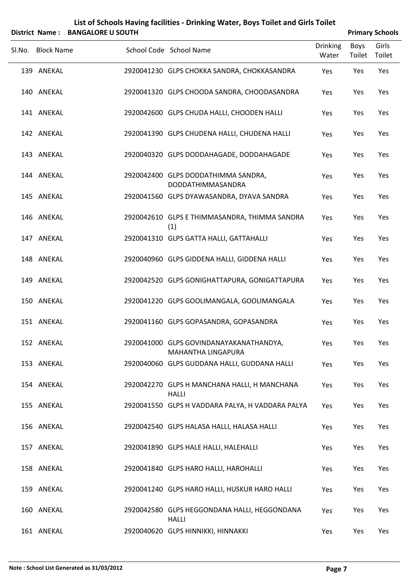|        |                   | District Name: BANGALORE U SOUTH |                                                                      |                          |                | <b>Primary Schools</b> |
|--------|-------------------|----------------------------------|----------------------------------------------------------------------|--------------------------|----------------|------------------------|
| Sl.No. | <b>Block Name</b> |                                  | School Code School Name                                              | <b>Drinking</b><br>Water | Boys<br>Toilet | Girls<br>Toilet        |
|        | 139 ANEKAL        |                                  | 2920041230 GLPS CHOKKA SANDRA, CHOKKASANDRA                          | Yes                      | Yes            | Yes                    |
|        | 140 ANEKAL        |                                  | 2920041320 GLPS CHOODA SANDRA, CHOODASANDRA                          | Yes                      | Yes            | Yes                    |
|        | 141 ANEKAL        |                                  | 2920042600 GLPS CHUDA HALLI, CHOODEN HALLI                           | Yes                      | Yes            | Yes                    |
|        | 142 ANEKAL        |                                  | 2920041390 GLPS CHUDENA HALLI, CHUDENA HALLI                         | Yes                      | Yes            | Yes                    |
|        | 143 ANEKAL        |                                  | 2920040320 GLPS DODDAHAGADE, DODDAHAGADE                             | Yes                      | Yes            | Yes                    |
|        | 144 ANEKAL        |                                  | 2920042400 GLPS DODDATHIMMA SANDRA,<br>DODDATHIMMASANDRA             | Yes                      | Yes            | Yes                    |
|        | 145 ANEKAL        |                                  | 2920041560 GLPS DYAWASANDRA, DYAVA SANDRA                            | Yes                      | Yes            | Yes                    |
|        | 146 ANEKAL        |                                  | 2920042610 GLPS E THIMMASANDRA, THIMMA SANDRA<br>(1)                 | Yes                      | Yes            | Yes                    |
|        | 147 ANEKAL        |                                  | 2920041310 GLPS GATTA HALLI, GATTAHALLI                              | Yes                      | Yes            | Yes                    |
|        | 148 ANEKAL        |                                  | 2920040960 GLPS GIDDENA HALLI, GIDDENA HALLI                         | Yes                      | Yes            | Yes                    |
|        | 149 ANEKAL        |                                  | 2920042520 GLPS GONIGHATTAPURA, GONIGATTAPURA                        | Yes                      | Yes            | Yes                    |
|        | 150 ANEKAL        |                                  | 2920041220 GLPS GOOLIMANGALA, GOOLIMANGALA                           | Yes                      | Yes            | Yes                    |
|        | 151 ANEKAL        |                                  | 2920041160 GLPS GOPASANDRA, GOPASANDRA                               | Yes                      | Yes            | Yes                    |
|        | 152 ANEKAL        |                                  | 2920041000 GLPS GOVINDANAYAKANATHANDYA,<br><b>MAHANTHA LINGAPURA</b> | Yes                      | Yes            | Yes                    |
|        | 153 ANEKAL        |                                  | 2920040060 GLPS GUDDANA HALLI, GUDDANA HALLI                         | Yes                      | Yes            | Yes                    |
|        | 154 ANEKAL        |                                  | 2920042270 GLPS H MANCHANA HALLI, H MANCHANA<br><b>HALLI</b>         | Yes                      | Yes            | Yes                    |
|        | 155 ANEKAL        |                                  | 2920041550 GLPS H VADDARA PALYA, H VADDARA PALYA                     | Yes                      | Yes            | Yes                    |
|        | 156 ANEKAL        |                                  | 2920042540 GLPS HALASA HALLI, HALASA HALLI                           | Yes                      | Yes            | Yes                    |
|        | 157 ANEKAL        |                                  | 2920041890 GLPS HALE HALLI, HALEHALLI                                | Yes                      | Yes            | Yes                    |
|        | 158 ANEKAL        |                                  | 2920041840 GLPS HARO HALLI, HAROHALLI                                | Yes                      | Yes            | Yes                    |
|        | 159 ANEKAL        |                                  | 2920041240 GLPS HARO HALLI, HUSKUR HARO HALLI                        | Yes                      | Yes            | Yes                    |
|        | 160 ANEKAL        |                                  | 2920042580 GLPS HEGGONDANA HALLI, HEGGONDANA<br><b>HALLI</b>         | Yes                      | Yes            | Yes                    |

161 ANEKAL 2920040620 GLPS HINNIKKI, HINNAKKI Yes Yes Yes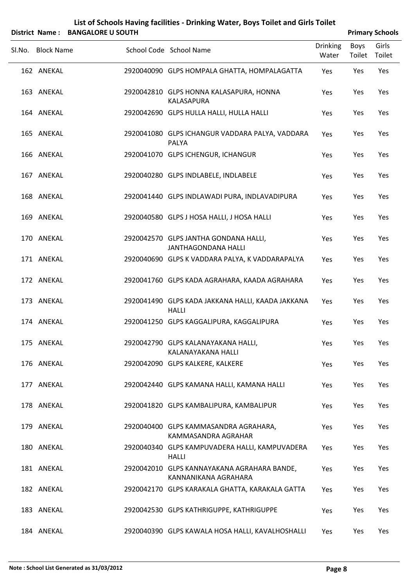|        |                   | District Name: BANGALORE U SOUTH |                                                                     |                          |                | <b>Primary Schools</b> |
|--------|-------------------|----------------------------------|---------------------------------------------------------------------|--------------------------|----------------|------------------------|
| Sl.No. | <b>Block Name</b> |                                  | School Code School Name                                             | <b>Drinking</b><br>Water | Boys<br>Toilet | Girls<br>Toilet        |
|        | 162 ANEKAL        |                                  | 2920040090 GLPS HOMPALA GHATTA, HOMPALAGATTA                        | Yes                      | Yes            | Yes                    |
|        | 163 ANEKAL        |                                  | 2920042810 GLPS HONNA KALASAPURA, HONNA<br>KALASAPURA               | Yes                      | Yes            | Yes                    |
|        | 164 ANEKAL        |                                  | 2920042690 GLPS HULLA HALLI, HULLA HALLI                            | Yes                      | Yes            | Yes                    |
|        | 165 ANEKAL        |                                  | 2920041080 GLPS ICHANGUR VADDARA PALYA, VADDARA<br>PALYA            | Yes                      | Yes            | Yes                    |
|        | 166 ANEKAL        |                                  | 2920041070 GLPS ICHENGUR, ICHANGUR                                  | Yes                      | Yes            | Yes                    |
|        | 167 ANEKAL        |                                  | 2920040280 GLPS INDLABELE, INDLABELE                                | Yes                      | Yes            | Yes                    |
|        | 168 ANEKAL        |                                  | 2920041440 GLPS INDLAWADI PURA, INDLAVADIPURA                       | Yes                      | Yes            | Yes                    |
|        | 169 ANEKAL        |                                  | 2920040580 GLPS J HOSA HALLI, J HOSA HALLI                          | Yes                      | Yes            | Yes                    |
|        | 170 ANEKAL        |                                  | 2920042570 GLPS JANTHA GONDANA HALLI,<br><b>JANTHAGONDANA HALLI</b> | Yes                      | Yes            | Yes                    |
|        | 171 ANEKAL        |                                  | 2920040690 GLPS K VADDARA PALYA, K VADDARAPALYA                     | Yes                      | Yes            | Yes                    |
|        | 172 ANEKAL        |                                  | 2920041760 GLPS KADA AGRAHARA, KAADA AGRAHARA                       | Yes                      | Yes            | Yes                    |
|        | 173 ANEKAL        |                                  | 2920041490 GLPS KADA JAKKANA HALLI, KAADA JAKKANA<br><b>HALLI</b>   | Yes                      | Yes            | Yes                    |
|        | 174 ANEKAL        |                                  | 2920041250 GLPS KAGGALIPURA, KAGGALIPURA                            | Yes                      | Yes            | Yes                    |
|        | 175 ANEKAL        |                                  | 2920042790 GLPS KALANAYAKANA HALLI,<br>KALANAYAKANA HALLI           | Yes                      | Yes            | Yes                    |
|        | 176 ANEKAL        |                                  | 2920042090 GLPS KALKERE, KALKERE                                    | Yes                      | Yes            | Yes                    |
|        | 177 ANEKAL        |                                  | 2920042440 GLPS KAMANA HALLI, KAMANA HALLI                          | Yes                      | Yes            | Yes                    |
|        | 178 ANEKAL        |                                  | 2920041820 GLPS KAMBALIPURA, KAMBALIPUR                             | Yes                      | Yes            | Yes                    |
|        | 179 ANEKAL        |                                  | 2920040400 GLPS KAMMASANDRA AGRAHARA,<br>KAMMASANDRA AGRAHAR        | Yes                      | Yes            | Yes                    |
|        | 180 ANEKAL        |                                  | 2920040340 GLPS KAMPUVADERA HALLI, KAMPUVADERA<br><b>HALLI</b>      | Yes                      | Yes            | Yes                    |
|        | 181 ANEKAL        |                                  | 2920042010 GLPS KANNAYAKANA AGRAHARA BANDE,<br>KANNANIKANA AGRAHARA | Yes                      | Yes            | Yes                    |
|        | 182 ANEKAL        |                                  | 2920042170 GLPS KARAKALA GHATTA, KARAKALA GATTA                     | Yes                      | Yes            | Yes                    |
|        | 183 ANEKAL        |                                  | 2920042530 GLPS KATHRIGUPPE, KATHRIGUPPE                            | Yes                      | Yes            | Yes                    |
|        | 184 ANEKAL        |                                  | 2920040390 GLPS KAWALA HOSA HALLI, KAVALHOSHALLI                    | Yes                      | Yes            | Yes                    |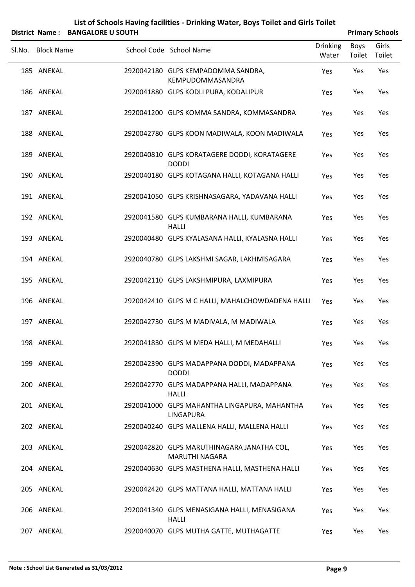|        |                   | District Name: BANGALORE U SOUTH |                                                                     |                          |                | <b>Primary Schools</b> |
|--------|-------------------|----------------------------------|---------------------------------------------------------------------|--------------------------|----------------|------------------------|
| SI.No. | <b>Block Name</b> |                                  | School Code School Name                                             | <b>Drinking</b><br>Water | Boys<br>Toilet | Girls<br>Toilet        |
|        | 185 ANEKAL        |                                  | 2920042180 GLPS KEMPADOMMA SANDRA,<br>KEMPUDOMMASANDRA              | Yes                      | Yes            | Yes                    |
|        | 186 ANEKAL        |                                  | 2920041880 GLPS KODLI PURA, KODALIPUR                               | Yes                      | Yes            | Yes                    |
|        | 187 ANEKAL        |                                  | 2920041200 GLPS KOMMA SANDRA, KOMMASANDRA                           | Yes                      | Yes            | Yes                    |
|        | 188 ANEKAL        |                                  | 2920042780 GLPS KOON MADIWALA, KOON MADIWALA                        | Yes                      | Yes            | Yes                    |
|        | 189 ANEKAL        |                                  | 2920040810 GLPS KORATAGERE DODDI, KORATAGERE<br><b>DODDI</b>        | Yes                      | Yes            | Yes                    |
|        | 190 ANEKAL        |                                  | 2920040180 GLPS KOTAGANA HALLI, KOTAGANA HALLI                      | Yes                      | Yes            | Yes                    |
|        | 191 ANEKAL        |                                  | 2920041050 GLPS KRISHNASAGARA, YADAVANA HALLI                       | Yes                      | Yes            | Yes                    |
|        | 192 ANEKAL        |                                  | 2920041580 GLPS KUMBARANA HALLI, KUMBARANA<br><b>HALLI</b>          | Yes                      | Yes            | Yes                    |
|        | 193 ANEKAL        |                                  | 2920040480 GLPS KYALASANA HALLI, KYALASNA HALLI                     | Yes                      | Yes            | Yes                    |
|        | 194 ANEKAL        |                                  | 2920040780 GLPS LAKSHMI SAGAR, LAKHMISAGARA                         | Yes                      | Yes            | Yes                    |
|        | 195 ANEKAL        |                                  | 2920042110 GLPS LAKSHMIPURA, LAXMIPURA                              | Yes                      | Yes            | Yes                    |
|        | 196 ANEKAL        |                                  | 2920042410 GLPS M C HALLI, MAHALCHOWDADENA HALLI                    | Yes                      | Yes            | Yes                    |
|        | 197 ANEKAL        |                                  | 2920042730 GLPS M MADIVALA, M MADIWALA                              | Yes                      | Yes            | Yes                    |
|        | 198 ANEKAL        |                                  | 2920041830 GLPS M MEDA HALLI, M MEDAHALLI                           | Yes                      | Yes            | Yes                    |
|        | 199 ANEKAL        |                                  | 2920042390 GLPS MADAPPANA DODDI, MADAPPANA<br><b>DODDI</b>          | Yes                      | Yes            | Yes                    |
|        | 200 ANEKAL        |                                  | 2920042770 GLPS MADAPPANA HALLI, MADAPPANA<br><b>HALLI</b>          | Yes                      | Yes            | Yes                    |
|        | 201 ANEKAL        |                                  | 2920041000 GLPS MAHANTHA LINGAPURA, MAHANTHA<br><b>LINGAPURA</b>    | Yes                      | Yes            | Yes                    |
|        | 202 ANEKAL        |                                  | 2920040240 GLPS MALLENA HALLI, MALLENA HALLI                        | Yes                      | Yes            | Yes                    |
|        | 203 ANEKAL        |                                  | 2920042820 GLPS MARUTHINAGARA JANATHA COL,<br><b>MARUTHI NAGARA</b> | Yes                      | Yes            | Yes                    |
|        | 204 ANEKAL        |                                  | 2920040630 GLPS MASTHENA HALLI, MASTHENA HALLI                      | Yes                      | Yes            | Yes                    |
|        | 205 ANEKAL        |                                  | 2920042420 GLPS MATTANA HALLI, MATTANA HALLI                        | Yes                      | Yes            | Yes                    |
|        | 206 ANEKAL        |                                  | 2920041340 GLPS MENASIGANA HALLI, MENASIGANA<br><b>HALLI</b>        | Yes                      | Yes            | Yes                    |
|        | 207 ANEKAL        |                                  | 2920040070 GLPS MUTHA GATTE, MUTHAGATTE                             | Yes                      | Yes            | Yes                    |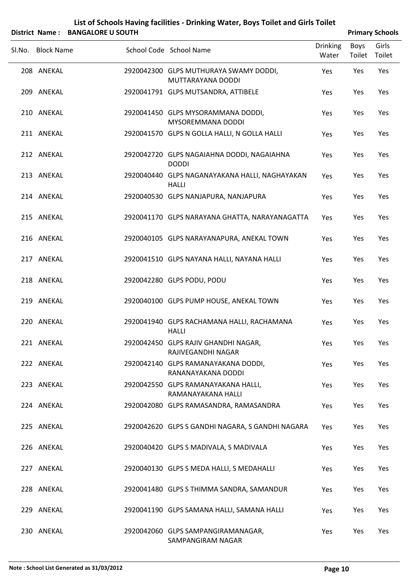|                   | District Name: BANGALORE U SOUTH |                                                                |                          |                | <b>Primary Schools</b> |
|-------------------|----------------------------------|----------------------------------------------------------------|--------------------------|----------------|------------------------|
| Sl.No. Block Name |                                  | School Code School Name                                        | <b>Drinking</b><br>Water | Boys<br>Toilet | Girls<br>Toilet        |
| 208 ANEKAL        |                                  | 2920042300 GLPS MUTHURAYA SWAMY DODDI,<br>MUTTARAYANA DODDI    | Yes                      | Yes            | Yes                    |
| 209 ANEKAL        |                                  | 2920041791 GLPS MUTSANDRA, ATTIBELE                            | Yes                      | Yes            | Yes                    |
| 210 ANEKAL        |                                  | 2920041450 GLPS MYSORAMMANA DODDI,<br><b>MYSOREMMANA DODDI</b> | Yes                      | Yes            | Yes                    |
| 211 ANEKAL        |                                  | 2920041570 GLPS N GOLLA HALLI, N GOLLA HALLI                   | Yes                      | Yes            | Yes                    |
| 212 ANEKAL        |                                  | 2920042720 GLPS NAGAIAHNA DODDI, NAGAIAHNA<br><b>DODDI</b>     | Yes                      | Yes            | Yes                    |
| 213 ANEKAL        |                                  | 2920040440 GLPS NAGANAYAKANA HALLI, NAGHAYAKAN<br><b>HALLI</b> | Yes                      | Yes            | Yes                    |
| 214 ANEKAL        |                                  | 2920040530 GLPS NANJAPURA, NANJAPURA                           | Yes                      | Yes            | Yes                    |
| 215 ANEKAL        |                                  | 2920041170 GLPS NARAYANA GHATTA, NARAYANAGATTA                 | Yes                      | Yes            | Yes                    |
| 216 ANEKAL        |                                  | 2920040105 GLPS NARAYANAPURA, ANEKAL TOWN                      | Yes                      | Yes            | Yes                    |
| 217 ANEKAL        |                                  | 2920041510 GLPS NAYANA HALLI, NAYANA HALLI                     | Yes                      | Yes            | Yes                    |
| 218 ANEKAL        |                                  | 2920042280 GLPS PODU, PODU                                     | Yes                      | Yes            | Yes                    |
| 219 ANEKAL        |                                  | 2920040100 GLPS PUMP HOUSE, ANEKAL TOWN                        | Yes                      | Yes            | Yes                    |
| 220 ANEKAL        |                                  | 2920041940 GLPS RACHAMANA HALLI, RACHAMANA<br><b>HALLI</b>     | Yes                      | Yes            | Yes                    |
| 221 ANEKAL        |                                  | 2920042450 GLPS RAJIV GHANDHI NAGAR,<br>RAJIVEGANDHI NAGAR     | Yes                      | Yes            | Yes                    |
| 222 ANEKAL        |                                  | 2920042140 GLPS RAMANAYAKANA DODDI,<br>RANANAYAKANA DODDI      | Yes                      | Yes            | Yes                    |
| 223 ANEKAL        |                                  | 2920042550 GLPS RAMANAYAKANA HALLI,<br>RAMANAYAKANA HALLI      | Yes                      | Yes            | Yes                    |
| 224 ANEKAL        |                                  | 2920042080 GLPS RAMASANDRA, RAMASANDRA                         | Yes                      | Yes            | Yes                    |
| 225 ANEKAL        |                                  | 2920042620 GLPS S GANDHI NAGARA, S GANDHI NAGARA               | Yes                      | Yes            | Yes                    |
| 226 ANEKAL        |                                  | 2920040420 GLPS S MADIVALA, S MADIVALA                         | Yes                      | Yes            | Yes                    |
| 227 ANEKAL        |                                  | 2920040130 GLPS S MEDA HALLI, S MEDAHALLI                      | Yes                      | Yes            | Yes                    |
| 228 ANEKAL        |                                  | 2920041480 GLPS S THIMMA SANDRA, SAMANDUR                      | Yes                      | Yes            | Yes                    |
| 229 ANEKAL        |                                  | 2920041190 GLPS SAMANA HALLI, SAMANA HALLI                     | Yes                      | Yes            | Yes                    |
| 230 ANEKAL        |                                  | 2920042060 GLPS SAMPANGIRAMANAGAR,<br>SAMPANGIRAM NAGAR        | Yes                      | Yes            | Yes                    |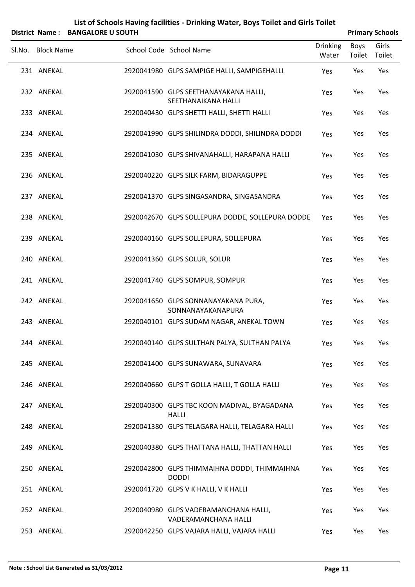|        |                   | District Name: BANGALORE U SOUTH |                                                               |                          |                       | <b>Primary Schools</b> |
|--------|-------------------|----------------------------------|---------------------------------------------------------------|--------------------------|-----------------------|------------------------|
| Sl.No. | <b>Block Name</b> |                                  | School Code School Name                                       | <b>Drinking</b><br>Water | Boys<br><b>Toilet</b> | Girls<br>Toilet        |
|        | 231 ANEKAL        |                                  | 2920041980 GLPS SAMPIGE HALLI, SAMPIGEHALLI                   | Yes                      | Yes                   | Yes                    |
|        | 232 ANEKAL        |                                  | 2920041590 GLPS SEETHANAYAKANA HALLI,<br>SEETHANAIKANA HALLI  | Yes                      | Yes                   | Yes                    |
|        | 233 ANEKAL        |                                  | 2920040430 GLPS SHETTI HALLI, SHETTI HALLI                    | Yes                      | Yes                   | Yes                    |
|        | 234 ANEKAL        |                                  | 2920041990 GLPS SHILINDRA DODDI, SHILINDRA DODDI              | Yes                      | Yes                   | Yes                    |
|        | 235 ANEKAL        |                                  | 2920041030 GLPS SHIVANAHALLI, HARAPANA HALLI                  | Yes                      | Yes                   | Yes                    |
|        | 236 ANEKAL        |                                  | 2920040220 GLPS SILK FARM, BIDARAGUPPE                        | Yes                      | Yes                   | Yes                    |
|        | 237 ANEKAL        |                                  | 2920041370 GLPS SINGASANDRA, SINGASANDRA                      | Yes                      | Yes                   | Yes                    |
|        | 238 ANEKAL        |                                  | 2920042670 GLPS SOLLEPURA DODDE, SOLLEPURA DODDE              | Yes                      | Yes                   | Yes                    |
|        | 239 ANEKAL        |                                  | 2920040160 GLPS SOLLEPURA, SOLLEPURA                          | Yes                      | Yes                   | Yes                    |
|        | 240 ANEKAL        |                                  | 2920041360 GLPS SOLUR, SOLUR                                  | Yes                      | Yes                   | Yes                    |
|        | 241 ANEKAL        |                                  | 2920041740 GLPS SOMPUR, SOMPUR                                | Yes                      | Yes                   | Yes                    |
|        | 242 ANEKAL        |                                  | 2920041650 GLPS SONNANAYAKANA PURA,<br>SONNANAYAKANAPURA      | Yes                      | Yes                   | Yes                    |
|        | 243 ANEKAL        |                                  | 2920040101 GLPS SUDAM NAGAR, ANEKAL TOWN                      | Yes                      | Yes                   | Yes                    |
|        | 244 ANEKAL        |                                  | 2920040140 GLPS SULTHAN PALYA, SULTHAN PALYA                  | Yes                      | Yes                   | Yes                    |
|        | 245 ANEKAL        |                                  | 2920041400 GLPS SUNAWARA, SUNAVARA                            | Yes                      | Yes                   | Yes                    |
|        | 246 ANEKAL        |                                  | 2920040660 GLPS T GOLLA HALLI, T GOLLA HALLI                  | Yes                      | Yes                   | Yes                    |
|        | 247 ANEKAL        |                                  | 2920040300 GLPS TBC KOON MADIVAL, BYAGADANA<br><b>HALLI</b>   | Yes                      | Yes                   | Yes                    |
|        | 248 ANEKAL        |                                  | 2920041380 GLPS TELAGARA HALLI, TELAGARA HALLI                | Yes                      | Yes                   | Yes                    |
|        | 249 ANEKAL        |                                  | 2920040380 GLPS THATTANA HALLI, THATTAN HALLI                 | Yes                      | Yes                   | Yes                    |
|        | 250 ANEKAL        |                                  | 2920042800 GLPS THIMMAIHNA DODDI, THIMMAIHNA<br><b>DODDI</b>  | Yes                      | Yes                   | Yes                    |
|        | 251 ANEKAL        |                                  | 2920041720 GLPS V K HALLI, V K HALLI                          | Yes                      | Yes                   | Yes                    |
|        | 252 ANEKAL        |                                  | 2920040980 GLPS VADERAMANCHANA HALLI,<br>VADERAMANCHANA HALLI | Yes                      | Yes                   | Yes                    |
|        | 253 ANEKAL        |                                  | 2920042250 GLPS VAJARA HALLI, VAJARA HALLI                    | Yes                      | Yes                   | Yes                    |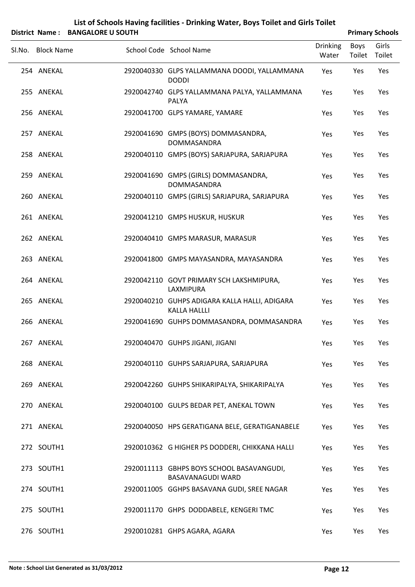|        |                   | District Name: BANGALORE U SOUTH |                                                                      |                          |                | <b>Primary Schools</b> |
|--------|-------------------|----------------------------------|----------------------------------------------------------------------|--------------------------|----------------|------------------------|
| Sl.No. | <b>Block Name</b> |                                  | School Code School Name                                              | <b>Drinking</b><br>Water | Boys<br>Toilet | Girls<br>Toilet        |
|        | 254 ANEKAL        |                                  | 2920040330 GLPS YALLAMMANA DOODI, YALLAMMANA<br><b>DODDI</b>         | Yes                      | Yes            | Yes                    |
|        | 255 ANEKAL        |                                  | 2920042740 GLPS YALLAMMANA PALYA, YALLAMMANA<br>PALYA                | Yes                      | Yes            | Yes                    |
|        | 256 ANEKAL        |                                  | 2920041700 GLPS YAMARE, YAMARE                                       | Yes                      | Yes            | Yes                    |
|        | 257 ANEKAL        |                                  | 2920041690 GMPS (BOYS) DOMMASANDRA,<br>DOMMASANDRA                   | Yes                      | Yes            | Yes                    |
|        | 258 ANEKAL        |                                  | 2920040110 GMPS (BOYS) SARJAPURA, SARJAPURA                          | Yes                      | Yes            | Yes                    |
|        | 259 ANEKAL        |                                  | 2920041690 GMPS (GIRLS) DOMMASANDRA,<br>DOMMASANDRA                  | Yes                      | Yes            | Yes                    |
|        | 260 ANEKAL        |                                  | 2920040110 GMPS (GIRLS) SARJAPURA, SARJAPURA                         | Yes                      | Yes            | Yes                    |
|        | 261 ANEKAL        |                                  | 2920041210 GMPS HUSKUR, HUSKUR                                       | Yes                      | Yes            | Yes                    |
|        | 262 ANEKAL        |                                  | 2920040410 GMPS MARASUR, MARASUR                                     | Yes                      | Yes            | Yes                    |
|        | 263 ANEKAL        |                                  | 2920041800 GMPS MAYASANDRA, MAYASANDRA                               | Yes                      | Yes            | Yes                    |
|        | 264 ANEKAL        |                                  | 2920042110 GOVT PRIMARY SCH LAKSHMIPURA,<br>LAXMIPURA                | Yes                      | Yes            | Yes                    |
|        | 265 ANEKAL        |                                  | 2920040210 GUHPS ADIGARA KALLA HALLI, ADIGARA<br><b>KALLA HALLLI</b> | Yes                      | Yes            | Yes                    |
|        | 266 ANEKAL        |                                  | 2920041690 GUHPS DOMMASANDRA, DOMMASANDRA                            | Yes                      | Yes            | Yes                    |
|        | 267 ANEKAL        |                                  | 2920040470 GUHPS JIGANI, JIGANI                                      | Yes                      | Yes            | Yes                    |
|        | 268 ANEKAL        |                                  | 2920040110 GUHPS SARJAPURA, SARJAPURA                                | Yes                      | Yes            | Yes                    |
|        | 269 ANEKAL        |                                  | 2920042260 GUHPS SHIKARIPALYA, SHIKARIPALYA                          | Yes                      | Yes            | Yes                    |
|        | 270 ANEKAL        |                                  | 2920040100 GULPS BEDAR PET, ANEKAL TOWN                              | Yes                      | Yes            | Yes                    |
|        | 271 ANEKAL        |                                  | 2920040050 HPS GERATIGANA BELE, GERATIGANABELE                       | Yes                      | Yes            | Yes                    |
|        | 272 SOUTH1        |                                  | 2920010362 G HIGHER PS DODDERI, CHIKKANA HALLI                       | Yes                      | Yes            | Yes                    |
|        | 273 SOUTH1        |                                  | 2920011113 GBHPS BOYS SCHOOL BASAVANGUDI,<br>BASAVANAGUDI WARD       | Yes                      | Yes            | Yes                    |
|        | 274 SOUTH1        |                                  | 2920011005 GGHPS BASAVANA GUDI, SREE NAGAR                           | Yes                      | Yes            | Yes                    |
|        | 275 SOUTH1        |                                  | 2920011170 GHPS DODDABELE, KENGERI TMC                               | Yes                      | Yes            | Yes                    |
|        | 276 SOUTH1        |                                  | 2920010281 GHPS AGARA, AGARA                                         | Yes                      | Yes            | Yes                    |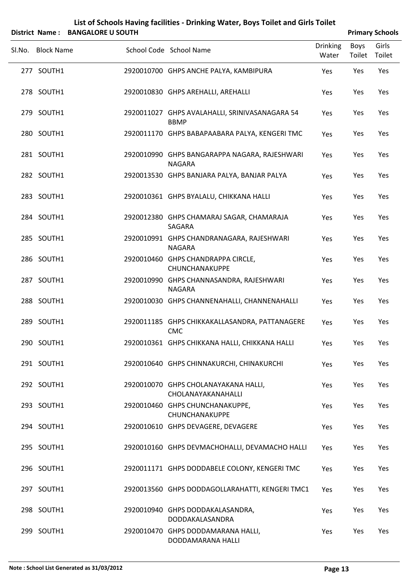| List of Schools Having facilities - Drinking Water, Boys Toilet and Girls Toilet |
|----------------------------------------------------------------------------------|
| ____________________                                                             |

| District Name: BANGALORE U SOUTH |                                                                |                          |                | <b>Primary Schools</b> |
|----------------------------------|----------------------------------------------------------------|--------------------------|----------------|------------------------|
| SI.No. Block Name                | School Code School Name                                        | <b>Drinking</b><br>Water | Boys<br>Toilet | Girls<br>Toilet        |
| 277 SOUTH1                       | 2920010700 GHPS ANCHE PALYA, KAMBIPURA                         | Yes                      | Yes            | Yes                    |
| 278 SOUTH1                       | 2920010830 GHPS AREHALLI, AREHALLI                             | Yes                      | Yes            | Yes                    |
| 279 SOUTH1                       | 2920011027 GHPS AVALAHALLI, SRINIVASANAGARA 54<br><b>BBMP</b>  | Yes                      | Yes            | Yes                    |
| 280 SOUTH1                       | 2920011170 GHPS BABAPAABARA PALYA, KENGERI TMC                 | Yes                      | Yes            | Yes                    |
| 281 SOUTH1                       | 2920010990 GHPS BANGARAPPA NAGARA, RAJESHWARI<br><b>NAGARA</b> | Yes                      | Yes            | Yes                    |
| 282 SOUTH1                       | 2920013530 GHPS BANJARA PALYA, BANJAR PALYA                    | Yes                      | Yes            | Yes                    |
| 283 SOUTH1                       | 2920010361 GHPS BYALALU, CHIKKANA HALLI                        | Yes                      | Yes            | Yes                    |
| 284 SOUTH1                       | 2920012380 GHPS CHAMARAJ SAGAR, CHAMARAJA<br>SAGARA            | Yes                      | Yes            | Yes                    |
| 285 SOUTH1                       | 2920010991 GHPS CHANDRANAGARA, RAJESHWARI<br><b>NAGARA</b>     | Yes                      | Yes            | Yes                    |
| 286 SOUTH1                       | 2920010460 GHPS CHANDRAPPA CIRCLE,<br>CHUNCHANAKUPPE           | Yes                      | Yes            | Yes                    |
| 287 SOUTH1                       | 2920010990 GHPS CHANNASANDRA, RAJESHWARI<br><b>NAGARA</b>      | Yes                      | Yes            | Yes                    |
| 288 SOUTH1                       | 2920010030 GHPS CHANNENAHALLI, CHANNENAHALLI                   | Yes                      | Yes            | Yes                    |
| 289 SOUTH1                       | 2920011185 GHPS CHIKKAKALLASANDRA, PATTANAGERE<br><b>CMC</b>   | Yes                      | Yes            | Yes                    |
| 290 SOUTH1                       | 2920010361 GHPS CHIKKANA HALLI, CHIKKANA HALLI                 | Yes                      | Yes            | Yes                    |
| 291 SOUTH1                       | 2920010640 GHPS CHINNAKURCHI, CHINAKURCHI                      | Yes                      | Yes            | Yes                    |
| 292 SOUTH1                       | 2920010070 GHPS CHOLANAYAKANA HALLI,<br>CHOLANAYAKANAHALLI     | Yes                      | Yes            | Yes                    |
| 293 SOUTH1                       | 2920010460 GHPS CHUNCHANAKUPPE,<br>CHUNCHANAKUPPE              | Yes                      | Yes            | Yes                    |
| 294 SOUTH1                       | 2920010610 GHPS DEVAGERE, DEVAGERE                             | Yes                      | Yes            | Yes                    |
| 295 SOUTH1                       | 2920010160 GHPS DEVMACHOHALLI, DEVAMACHO HALLI                 | Yes                      | Yes            | Yes                    |
| 296 SOUTH1                       | 2920011171 GHPS DODDABELE COLONY, KENGERI TMC                  | Yes                      | Yes            | Yes                    |
| 297 SOUTH1                       | 2920013560 GHPS DODDAGOLLARAHATTI, KENGERI TMC1                | Yes                      | Yes            | Yes                    |
| 298 SOUTH1                       | 2920010940 GHPS DODDAKALASANDRA,<br>DODDAKALASANDRA            | Yes                      | Yes            | Yes                    |
| 299 SOUTH1                       | 2920010470 GHPS DODDAMARANA HALLI,<br>DODDAMARANA HALLI        | Yes                      | Yes            | Yes                    |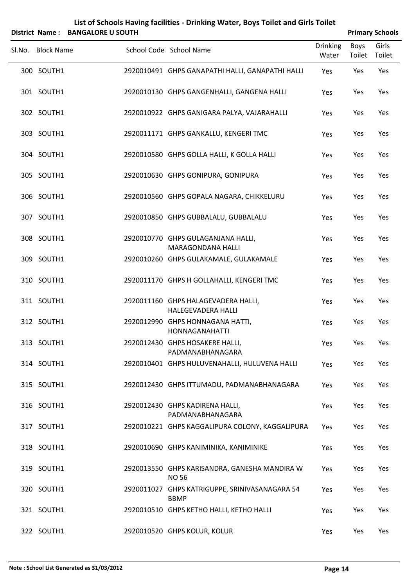|        |                   | District Name: BANGALORE U SOUTH |                                                                  |                          |                | <b>Primary Schools</b> |
|--------|-------------------|----------------------------------|------------------------------------------------------------------|--------------------------|----------------|------------------------|
| Sl.No. | <b>Block Name</b> |                                  | School Code School Name                                          | <b>Drinking</b><br>Water | Boys<br>Toilet | Girls<br>Toilet        |
|        | 300 SOUTH1        |                                  | 2920010491 GHPS GANAPATHI HALLI, GANAPATHI HALLI                 | Yes                      | Yes            | Yes                    |
|        | 301 SOUTH1        |                                  | 2920010130 GHPS GANGENHALLI, GANGENA HALLI                       | Yes                      | Yes            | Yes                    |
|        | 302 SOUTH1        |                                  | 2920010922 GHPS GANIGARA PALYA, VAJARAHALLI                      | Yes                      | Yes            | Yes                    |
|        | 303 SOUTH1        |                                  | 2920011171 GHPS GANKALLU, KENGERI TMC                            | Yes                      | Yes            | Yes                    |
|        | 304 SOUTH1        |                                  | 2920010580 GHPS GOLLA HALLI, K GOLLA HALLI                       | Yes                      | Yes            | Yes                    |
|        | 305 SOUTH1        |                                  | 2920010630 GHPS GONIPURA, GONIPURA                               | Yes                      | Yes            | Yes                    |
|        | 306 SOUTH1        |                                  | 2920010560 GHPS GOPALA NAGARA, CHIKKELURU                        | Yes                      | Yes            | Yes                    |
|        | 307 SOUTH1        |                                  | 2920010850 GHPS GUBBALALU, GUBBALALU                             | Yes                      | Yes            | Yes                    |
|        | 308 SOUTH1        |                                  | 2920010770 GHPS GULAGANJANA HALLI,<br><b>MARAGONDANA HALLI</b>   | Yes                      | Yes            | Yes                    |
|        | 309 SOUTH1        |                                  | 2920010260 GHPS GULAKAMALE, GULAKAMALE                           | Yes                      | Yes            | Yes                    |
|        | 310 SOUTH1        |                                  | 2920011170 GHPS H GOLLAHALLI, KENGERI TMC                        | Yes                      | Yes            | Yes                    |
|        | 311 SOUTH1        |                                  | 2920011160 GHPS HALAGEVADERA HALLI,<br><b>HALEGEVADERA HALLI</b> | Yes                      | Yes            | Yes                    |
|        | 312 SOUTH1        |                                  | 2920012990 GHPS HONNAGANA HATTI,<br><b>HONNAGANAHATTI</b>        | Yes                      | Yes            | Yes                    |
|        | 313 SOUTH1        |                                  | 2920012430 GHPS HOSAKERE HALLI,<br>PADMANABHANAGARA              | Yes                      | Yes            | Yes                    |
|        | 314 SOUTH1        |                                  | 2920010401 GHPS HULUVENAHALLI, HULUVENA HALLI                    | Yes                      | Yes            | Yes                    |
|        | 315 SOUTH1        |                                  | 2920012430 GHPS ITTUMADU, PADMANABHANAGARA                       | Yes                      | Yes            | Yes                    |
|        | 316 SOUTH1        |                                  | 2920012430 GHPS KADIRENA HALLI,<br>PADMANABHANAGARA              | Yes                      | Yes            | Yes                    |
|        | 317 SOUTH1        |                                  | 2920010221 GHPS KAGGALIPURA COLONY, KAGGALIPURA                  | Yes                      | Yes            | Yes                    |
|        | 318 SOUTH1        |                                  | 2920010690 GHPS KANIMINIKA, KANIMINIKE                           | Yes                      | Yes            | Yes                    |
|        | 319 SOUTH1        |                                  | 2920013550 GHPS KARISANDRA, GANESHA MANDIRA W<br><b>NO 56</b>    | Yes                      | Yes            | Yes                    |
|        | 320 SOUTH1        |                                  | 2920011027 GHPS KATRIGUPPE, SRINIVASANAGARA 54<br><b>BBMP</b>    | Yes                      | Yes            | Yes                    |
|        | 321 SOUTH1        |                                  | 2920010510 GHPS KETHO HALLI, KETHO HALLI                         | Yes                      | Yes            | Yes                    |
|        | 322 SOUTH1        |                                  | 2920010520 GHPS KOLUR, KOLUR                                     | Yes                      | Yes            | Yes                    |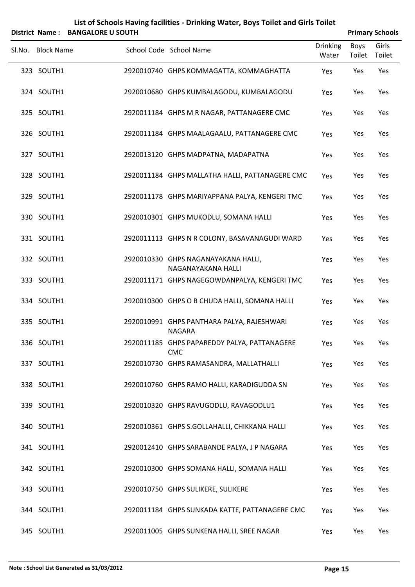|        |                   | District Name: BANGALORE U SOUTH |                                                             |                          |                | <b>Primary Schools</b> |
|--------|-------------------|----------------------------------|-------------------------------------------------------------|--------------------------|----------------|------------------------|
| Sl.No. | <b>Block Name</b> |                                  | School Code School Name                                     | <b>Drinking</b><br>Water | Boys<br>Toilet | Girls<br>Toilet        |
|        | 323 SOUTH1        |                                  | 2920010740 GHPS KOMMAGATTA, KOMMAGHATTA                     | Yes                      | Yes            | Yes                    |
|        | 324 SOUTH1        |                                  | 2920010680 GHPS KUMBALAGODU, KUMBALAGODU                    | Yes                      | Yes            | Yes                    |
|        | 325 SOUTH1        |                                  | 2920011184 GHPS M R NAGAR, PATTANAGERE CMC                  | Yes                      | Yes            | Yes                    |
|        | 326 SOUTH1        |                                  | 2920011184 GHPS MAALAGAALU, PATTANAGERE CMC                 | Yes                      | Yes            | Yes                    |
|        | 327 SOUTH1        |                                  | 2920013120 GHPS MADPATNA, MADAPATNA                         | Yes                      | Yes            | Yes                    |
|        | 328 SOUTH1        |                                  | 2920011184 GHPS MALLATHA HALLI, PATTANAGERE CMC             | Yes                      | Yes            | Yes                    |
|        | 329 SOUTH1        |                                  | 2920011178 GHPS MARIYAPPANA PALYA, KENGERI TMC              | Yes                      | Yes            | Yes                    |
|        | 330 SOUTH1        |                                  | 2920010301 GHPS MUKODLU, SOMANA HALLI                       | Yes                      | Yes            | Yes                    |
|        | 331 SOUTH1        |                                  | 2920011113 GHPS N R COLONY, BASAVANAGUDI WARD               | Yes                      | Yes            | Yes                    |
|        | 332 SOUTH1        |                                  | 2920010330 GHPS NAGANAYAKANA HALLI,<br>NAGANAYAKANA HALLI   | Yes                      | Yes            | Yes                    |
|        | 333 SOUTH1        |                                  | 2920011171 GHPS NAGEGOWDANPALYA, KENGERI TMC                | Yes                      | Yes            | Yes                    |
|        | 334 SOUTH1        |                                  | 2920010300 GHPS O B CHUDA HALLI, SOMANA HALLI               | Yes                      | Yes            | Yes                    |
|        | 335 SOUTH1        |                                  | 2920010991 GHPS PANTHARA PALYA, RAJESHWARI<br><b>NAGARA</b> | Yes                      | Yes            | Yes                    |
|        | 336 SOUTH1        |                                  | 2920011185 GHPS PAPAREDDY PALYA, PATTANAGERE<br><b>CMC</b>  | Yes                      | Yes            | Yes                    |
|        | 337 SOUTH1        |                                  | 2920010730 GHPS RAMASANDRA, MALLATHALLI                     | Yes                      | Yes            | Yes                    |
|        | 338 SOUTH1        |                                  | 2920010760 GHPS RAMO HALLI, KARADIGUDDA SN                  | Yes                      | Yes            | Yes                    |
|        | 339 SOUTH1        |                                  | 2920010320 GHPS RAVUGODLU, RAVAGODLU1                       | Yes                      | Yes            | Yes                    |
|        | 340 SOUTH1        |                                  | 2920010361 GHPS S.GOLLAHALLI, CHIKKANA HALLI                | Yes                      | Yes            | Yes                    |
|        | 341 SOUTH1        |                                  | 2920012410 GHPS SARABANDE PALYA, J P NAGARA                 | Yes                      | Yes            | Yes                    |
|        | 342 SOUTH1        |                                  | 2920010300 GHPS SOMANA HALLI, SOMANA HALLI                  | Yes                      | Yes            | Yes                    |
|        | 343 SOUTH1        |                                  | 2920010750 GHPS SULIKERE, SULIKERE                          | Yes                      | Yes            | Yes                    |
|        | 344 SOUTH1        |                                  | 2920011184 GHPS SUNKADA KATTE, PATTANAGERE CMC              | Yes                      | Yes            | Yes                    |
|        | 345 SOUTH1        |                                  | 2920011005 GHPS SUNKENA HALLI, SREE NAGAR                   | Yes                      | Yes            | Yes                    |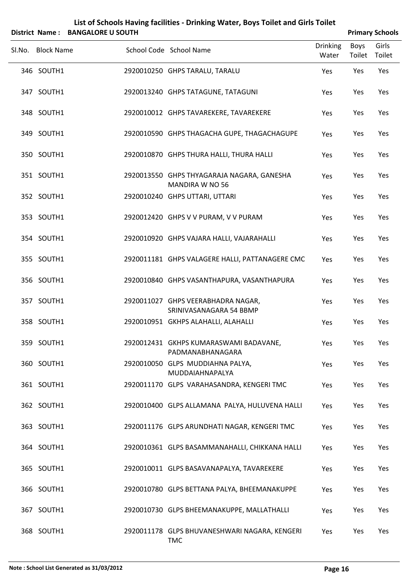|                          | District Name: BANGALORE U SOUTH |                                                                                                      |                          | <b>Primary Schools</b> |                 |
|--------------------------|----------------------------------|------------------------------------------------------------------------------------------------------|--------------------------|------------------------|-----------------|
| Sl.No. Block Name        |                                  | School Code School Name                                                                              | <b>Drinking</b><br>Water | Boys<br>Toilet         | Girls<br>Toilet |
| 346 SOUTH1               |                                  | 2920010250 GHPS TARALU, TARALU                                                                       | Yes                      | Yes                    | Yes             |
| 347 SOUTH1               |                                  | 2920013240 GHPS TATAGUNE, TATAGUNI                                                                   | Yes                      | Yes                    | Yes             |
| 348 SOUTH1               |                                  | 2920010012 GHPS TAVAREKERE, TAVAREKERE                                                               | Yes                      | Yes                    | Yes             |
| 349 SOUTH1               |                                  | 2920010590 GHPS THAGACHA GUPE, THAGACHAGUPE                                                          | Yes                      | Yes                    | Yes             |
| 350 SOUTH1               |                                  | 2920010870 GHPS THURA HALLI, THURA HALLI                                                             | Yes                      | Yes                    | Yes             |
| 351 SOUTH1               |                                  | 2920013550 GHPS THYAGARAJA NAGARA, GANESHA<br><b>MANDIRA W NO 56</b>                                 | Yes                      | Yes                    | Yes             |
| 352 SOUTH1               |                                  | 2920010240 GHPS UTTARI, UTTARI                                                                       | Yes                      | Yes                    | Yes             |
| 353 SOUTH1               |                                  | 2920012420 GHPS V V PURAM, V V PURAM                                                                 | Yes                      | Yes                    | Yes             |
| 354 SOUTH1               |                                  | 2920010920 GHPS VAJARA HALLI, VAJARAHALLI                                                            | Yes                      | Yes                    | Yes             |
| 355 SOUTH1<br>356 SOUTH1 |                                  | 2920011181 GHPS VALAGERE HALLI, PATTANAGERE CMC                                                      | Yes                      | Yes                    | Yes             |
|                          |                                  | 2920010840 GHPS VASANTHAPURA, VASANTHAPURA                                                           | Yes                      | Yes                    | Yes             |
| 357 SOUTH1<br>358 SOUTH1 |                                  | 2920011027 GHPS VEERABHADRA NAGAR,<br>SRINIVASANAGARA 54 BBMP<br>2920010951 GKHPS ALAHALLI, ALAHALLI | Yes<br>Yes               | Yes<br>Yes             | Yes<br>Yes      |
| 359 SOUTH1               |                                  | 2920012431 GKHPS KUMARASWAMI BADAVANE,                                                               |                          | Yes                    | Yes             |
| 360 SOUTH1               |                                  | PADMANABHANAGARA<br>2920010050 GLPS MUDDIAHNA PALYA,                                                 | Yes<br>Yes               | Yes                    | Yes             |
| 361 SOUTH1               |                                  | MUDDAIAHNAPALYA<br>2920011170 GLPS VARAHASANDRA, KENGERI TMC                                         | Yes                      | Yes                    | Yes             |
| 362 SOUTH1               |                                  | 2920010400 GLPS ALLAMANA PALYA, HULUVENA HALLI                                                       | Yes                      | Yes                    | Yes             |
| 363 SOUTH1               |                                  | 2920011176 GLPS ARUNDHATI NAGAR, KENGERI TMC                                                         | Yes                      | Yes                    | Yes             |
| 364 SOUTH1               |                                  | 2920010361 GLPS BASAMMANAHALLI, CHIKKANA HALLI                                                       | Yes                      | Yes                    | Yes             |
| 365 SOUTH1               |                                  | 2920010011 GLPS BASAVANAPALYA, TAVAREKERE                                                            | Yes                      | Yes                    | Yes             |
| 366 SOUTH1               |                                  | 2920010780 GLPS BETTANA PALYA, BHEEMANAKUPPE                                                         | Yes                      | Yes                    | Yes             |
| 367 SOUTH1               |                                  | 2920010730 GLPS BHEEMANAKUPPE, MALLATHALLI                                                           | Yes                      | Yes                    | Yes             |
|                          |                                  |                                                                                                      |                          |                        |                 |

SOUTH1 2920011178 GLPS BHUVANESHWARI NAGARA, KENGERI 368 Yes Yes Yes

TMC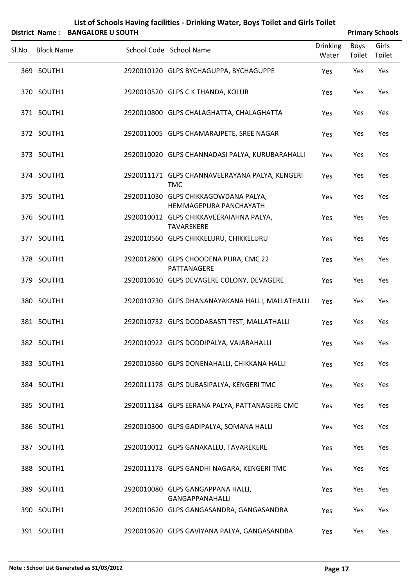| List of Schools Having facilities - Drinking Water, Boys Toilet and Girls Toilet                                                                                                                                                                                                                                                          |
|-------------------------------------------------------------------------------------------------------------------------------------------------------------------------------------------------------------------------------------------------------------------------------------------------------------------------------------------|
| $\mathbf{r}$ , $\mathbf{r}$ , $\mathbf{r}$ , $\mathbf{r}$ , $\mathbf{r}$ , $\mathbf{r}$ , $\mathbf{r}$ , $\mathbf{r}$ , $\mathbf{r}$ , $\mathbf{r}$ , $\mathbf{r}$ , $\mathbf{r}$ , $\mathbf{r}$ , $\mathbf{r}$ , $\mathbf{r}$ , $\mathbf{r}$ , $\mathbf{r}$ , $\mathbf{r}$ , $\mathbf{r}$ , $\mathbf{r}$ , $\mathbf{r}$ , $\mathbf{r}$ , |

|        |                   | District Name: BANGALORE U SOUTH |                                                                |                          |                | <b>Primary Schools</b> |
|--------|-------------------|----------------------------------|----------------------------------------------------------------|--------------------------|----------------|------------------------|
| SI.No. | <b>Block Name</b> |                                  | School Code School Name                                        | <b>Drinking</b><br>Water | Boys<br>Toilet | Girls<br>Toilet        |
|        | 369 SOUTH1        |                                  | 2920010120 GLPS BYCHAGUPPA, BYCHAGUPPE                         | Yes                      | Yes            | Yes                    |
|        | 370 SOUTH1        |                                  | 2920010520 GLPS C K THANDA, KOLUR                              | Yes                      | Yes            | Yes                    |
|        | 371 SOUTH1        |                                  | 2920010800 GLPS CHALAGHATTA, CHALAGHATTA                       | Yes                      | Yes            | Yes                    |
|        | 372 SOUTH1        |                                  | 2920011005 GLPS CHAMARAJPETE, SREE NAGAR                       | Yes                      | Yes            | Yes                    |
|        | 373 SOUTH1        |                                  | 2920010020 GLPS CHANNADASI PALYA, KURUBARAHALLI                | Yes                      | Yes            | Yes                    |
|        | 374 SOUTH1        |                                  | 2920011171 GLPS CHANNAVEERAYANA PALYA, KENGERI<br><b>TMC</b>   | Yes                      | Yes            | Yes                    |
|        | 375 SOUTH1        |                                  | 2920011030 GLPS CHIKKAGOWDANA PALYA,<br>HEMMAGEPURA PANCHAYATH | Yes                      | Yes            | Yes                    |
|        | 376 SOUTH1        |                                  | 2920010012 GLPS CHIKKAVEERAIAHNA PALYA,<br>TAVAREKERE          | Yes                      | Yes            | Yes                    |
|        | 377 SOUTH1        |                                  | 2920010560 GLPS CHIKKELURU, CHIKKELURU                         | Yes                      | Yes            | Yes                    |
|        | 378 SOUTH1        |                                  | 2920012800 GLPS CHOODENA PURA, CMC 22<br>PATTANAGERE           | Yes                      | Yes            | Yes                    |
|        | 379 SOUTH1        |                                  | 2920010610 GLPS DEVAGERE COLONY, DEVAGERE                      | Yes                      | Yes            | Yes                    |
|        | 380 SOUTH1        |                                  | 2920010730 GLPS DHANANAYAKANA HALLI, MALLATHALLI               | Yes                      | Yes            | Yes                    |
|        | 381 SOUTH1        |                                  | 2920010732 GLPS DODDABASTI TEST, MALLATHALLI                   | Yes                      | Yes            | Yes                    |
|        | 382 SOUTH1        |                                  | 2920010922 GLPS DODDIPALYA, VAJARAHALLI                        | Yes                      | Yes            | Yes                    |
|        | 383 SOUTH1        |                                  | 2920010360 GLPS DONENAHALLI, CHIKKANA HALLI                    | Yes                      | Yes            | Yes                    |
|        | 384 SOUTH1        |                                  | 2920011178 GLPS DUBASIPALYA, KENGERI TMC                       | Yes                      | Yes            | Yes                    |
|        | 385 SOUTH1        |                                  | 2920011184 GLPS EERANA PALYA, PATTANAGERE CMC                  | Yes                      | Yes            | Yes                    |
|        | 386 SOUTH1        |                                  | 2920010300 GLPS GADIPALYA, SOMANA HALLI                        | Yes                      | Yes            | Yes                    |
|        | 387 SOUTH1        |                                  | 2920010012 GLPS GANAKALLU, TAVAREKERE                          | Yes                      | Yes            | Yes                    |
|        | 388 SOUTH1        |                                  | 2920011178 GLPS GANDHI NAGARA, KENGERI TMC                     | Yes                      | Yes            | Yes                    |
|        | 389 SOUTH1        |                                  | 2920010080 GLPS GANGAPPANA HALLI,<br><b>GANGAPPANAHALLI</b>    | Yes                      | Yes            | Yes                    |
|        | 390 SOUTH1        |                                  | 2920010620 GLPS GANGASANDRA, GANGASANDRA                       | Yes                      | Yes            | Yes                    |
|        | 391 SOUTH1        |                                  | 2920010620 GLPS GAVIYANA PALYA, GANGASANDRA                    | Yes                      | Yes            | Yes                    |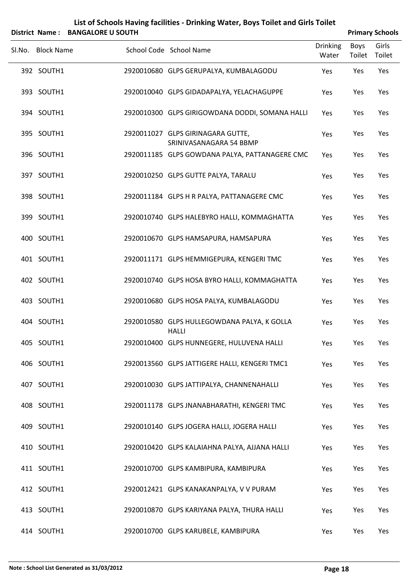| <b>District Name:</b> | <b>BANGALORE U SOUTH</b> | List of Schools Having facilities - Drinking Water, Boys Toilet and Girls Toilet |                          |                |                                           |  |  |
|-----------------------|--------------------------|----------------------------------------------------------------------------------|--------------------------|----------------|-------------------------------------------|--|--|
| Sl.No. Block Name     |                          | School Code School Name                                                          | <b>Drinking</b><br>Water | Boys<br>Toilet | <b>Primary Schools</b><br>Girls<br>Toilet |  |  |
| 392 SOUTH1            |                          | 2920010680 GLPS GERUPALYA, KUMBALAGODU                                           | Yes                      | Yes            | Yes                                       |  |  |
| 393 SOUTH1            |                          | 2920010040 GLPS GIDADAPALYA, YELACHAGUPPE                                        | Yes                      | Yes            | Yes                                       |  |  |
| 394 SOUTH1            |                          | 2920010300 GLPS GIRIGOWDANA DODDI, SOMANA HALLI                                  | Yes                      | Yes            | Yes                                       |  |  |
| 395 SOUTH1            |                          | 2920011027 GLPS GIRINAGARA GUTTE,<br>SRINIVASANAGARA 54 BBMP                     | Yes                      | Yes            | Yes                                       |  |  |
| 396 SOUTH1            |                          | 2920011185 GLPS GOWDANA PALYA, PATTANAGERE CMC                                   | Yes                      | Yes            | Yes                                       |  |  |
| 397 SOUTH1            |                          | 2920010250 GLPS GUTTE PALYA, TARALU                                              | Yes                      | Yes            | Yes                                       |  |  |
| 398 SOUTH1            |                          | 2920011184 GLPS H R PALYA, PATTANAGERE CMC                                       | Yes                      | Yes            | Yes                                       |  |  |
| 399 SOUTH1            |                          | 2920010740 GLPS HALEBYRO HALLI, KOMMAGHATTA                                      | Yes                      | Yes            | Yes                                       |  |  |
| 400 SOUTH1            |                          | 2920010670 GLPS HAMSAPURA, HAMSAPURA                                             | Yes                      | Yes            | Yes                                       |  |  |
| 401 SOUTH1            |                          | 2920011171 GLPS HEMMIGEPURA, KENGERI TMC                                         | Yes                      | Yes            | Yes                                       |  |  |
| 402 SOUTH1            |                          | 2920010740 GLPS HOSA BYRO HALLI, KOMMAGHATTA                                     | Yes                      | Yes            | Yes                                       |  |  |
| 403 SOUTH1            |                          | 2920010680 GLPS HOSA PALYA, KUMBALAGODU                                          | Yes                      | Yes            | Yes                                       |  |  |
| 404 SOUTH1            |                          | 2920010580 GLPS HULLEGOWDANA PALYA, K GOLLA<br><b>HALLI</b>                      | Yes                      | Yes            | Yes                                       |  |  |
| 405 SOUTH1            |                          | 2920010400 GLPS HUNNEGERE, HULUVENA HALLI                                        | Yes                      | Yes            | Yes                                       |  |  |
| 406 SOUTH1            |                          | 2920013560 GLPS JATTIGERE HALLI, KENGERI TMC1                                    | Yes                      | Yes            | Yes                                       |  |  |
| 407 SOUTH1            |                          | 2920010030 GLPS JATTIPALYA, CHANNENAHALLI                                        | Yes                      | Yes            | Yes                                       |  |  |
| 408 SOUTH1            |                          | 2920011178 GLPS JNANABHARATHI, KENGERI TMC                                       | Yes                      | Yes            | Yes                                       |  |  |
| 409 SOUTH1            |                          | 2920010140 GLPS JOGERA HALLI, JOGERA HALLI                                       | Yes                      | Yes            | Yes                                       |  |  |
| 410 SOUTH1            |                          | 2920010420 GLPS KALAIAHNA PALYA, AJJANA HALLI                                    | Yes                      | Yes            | Yes                                       |  |  |
| 411 SOUTH1            |                          | 2920010700 GLPS KAMBIPURA, KAMBIPURA                                             | Yes                      | Yes            | Yes                                       |  |  |
| 412 SOUTH1            |                          | 2920012421 GLPS KANAKANPALYA, V V PURAM                                          | Yes                      | Yes            | Yes                                       |  |  |
| 413 SOUTH1            |                          | 2920010870 GLPS KARIYANA PALYA, THURA HALLI                                      | Yes                      | Yes            | Yes                                       |  |  |
| 414 SOUTH1            |                          | 2920010700 GLPS KARUBELE, KAMBIPURA                                              | Yes                      | Yes            | Yes                                       |  |  |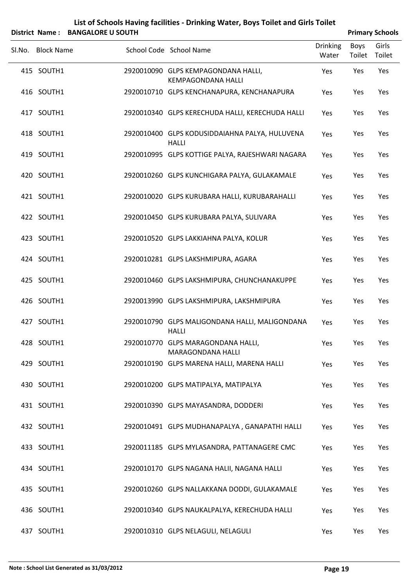| List of Schools Having facilities - Drinking Water, Boys Toilet and Girls Toilet |
|----------------------------------------------------------------------------------|
| $\mathsf{c}$ trict Name $\cdot$ RANGALODE ILSOUTH                                |

|        | District Name: BANGALORE U SOUTH |                                                                  |                          |                | <b>Primary Schools</b> |
|--------|----------------------------------|------------------------------------------------------------------|--------------------------|----------------|------------------------|
| Sl.No. | <b>Block Name</b>                | School Code School Name                                          | <b>Drinking</b><br>Water | Boys<br>Toilet | Girls<br>Toilet        |
|        | 415 SOUTH1                       | 2920010090 GLPS KEMPAGONDANA HALLI,<br><b>KEMPAGONDANA HALLI</b> | Yes                      | Yes            | Yes                    |
|        | 416 SOUTH1                       | 2920010710 GLPS KENCHANAPURA, KENCHANAPURA                       | Yes                      | Yes            | Yes                    |
|        | 417 SOUTH1                       | 2920010340 GLPS KERECHUDA HALLI, KERECHUDA HALLI                 | Yes                      | Yes            | Yes                    |
|        | 418 SOUTH1                       | 2920010400 GLPS KODUSIDDAIAHNA PALYA, HULUVENA<br><b>HALLI</b>   | Yes                      | Yes            | Yes                    |
|        | 419 SOUTH1                       | 2920010995 GLPS KOTTIGE PALYA, RAJESHWARI NAGARA                 | Yes                      | Yes            | Yes                    |
|        | 420 SOUTH1                       | 2920010260 GLPS KUNCHIGARA PALYA, GULAKAMALE                     | Yes                      | Yes            | Yes                    |
|        | 421 SOUTH1                       | 2920010020 GLPS KURUBARA HALLI, KURUBARAHALLI                    | Yes                      | Yes            | Yes                    |
|        | 422 SOUTH1                       | 2920010450 GLPS KURUBARA PALYA, SULIVARA                         | Yes                      | Yes            | Yes                    |
|        | 423 SOUTH1                       | 2920010520 GLPS LAKKIAHNA PALYA, KOLUR                           | Yes                      | Yes            | Yes                    |
|        | 424 SOUTH1                       | 2920010281 GLPS LAKSHMIPURA, AGARA                               | Yes                      | Yes            | Yes                    |
|        | 425 SOUTH1                       | 2920010460 GLPS LAKSHMIPURA, CHUNCHANAKUPPE                      | Yes                      | Yes            | Yes                    |
|        | 426 SOUTH1                       | 2920013990 GLPS LAKSHMIPURA, LAKSHMIPURA                         | Yes                      | Yes            | Yes                    |
|        | 427 SOUTH1                       | 2920010790 GLPS MALIGONDANA HALLI, MALIGONDANA<br><b>HALLI</b>   | Yes                      | Yes            | Yes                    |
|        | 428 SOUTH1                       | 2920010770 GLPS MARAGONDANA HALLI,<br>MARAGONDANA HALLI          | Yes                      | Yes            | Yes                    |
|        | 429 SOUTH1                       | 2920010190 GLPS MARENA HALLI, MARENA HALLI                       | Yes                      | Yes            | Yes                    |
|        | 430 SOUTH1                       | 2920010200 GLPS MATIPALYA, MATIPALYA                             | Yes                      | Yes            | Yes                    |
|        | 431 SOUTH1                       | 2920010390 GLPS MAYASANDRA, DODDERI                              | Yes                      | Yes            | Yes                    |
|        | 432 SOUTH1                       | 2920010491 GLPS MUDHANAPALYA, GANAPATHI HALLI                    | Yes                      | Yes            | Yes                    |
|        | 433 SOUTH1                       | 2920011185 GLPS MYLASANDRA, PATTANAGERE CMC                      | Yes                      | Yes            | Yes                    |
|        | 434 SOUTH1                       | 2920010170 GLPS NAGANA HALII, NAGANA HALLI                       | Yes                      | Yes            | Yes                    |
|        | 435 SOUTH1                       | 2920010260 GLPS NALLAKKANA DODDI, GULAKAMALE                     | Yes                      | Yes            | Yes                    |
|        | 436 SOUTH1                       | 2920010340 GLPS NAUKALPALYA, KERECHUDA HALLI                     | Yes                      | Yes            | Yes                    |
|        | 437 SOUTH1                       | 2920010310 GLPS NELAGULI, NELAGULI                               | Yes                      | Yes            | Yes                    |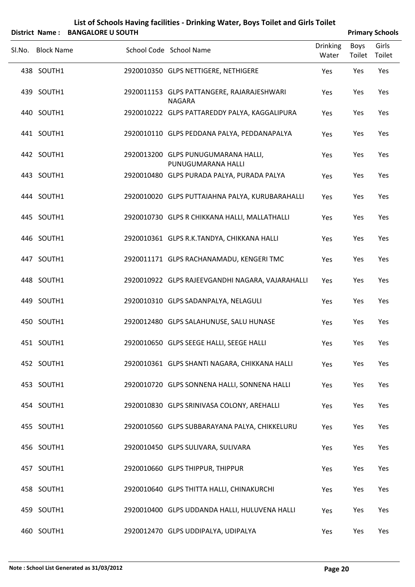| List of Schools Having facilities - Drinking Water, Boys Toilet and Girls Toilet                                                                                                                                                                                                             |
|----------------------------------------------------------------------------------------------------------------------------------------------------------------------------------------------------------------------------------------------------------------------------------------------|
| $\mathbb{R}^{d}$ . Also a set of $\mathbb{R}^{d}$ and $\mathbb{R}^{d}$ and $\mathbb{R}^{d}$ and $\mathbb{R}^{d}$ and $\mathbb{R}^{d}$ and $\mathbb{R}^{d}$ and $\mathbb{R}^{d}$ and $\mathbb{R}^{d}$ and $\mathbb{R}^{d}$ and $\mathbb{R}^{d}$ and $\mathbb{R}^{d}$ and $\mathbb{R}^{d}$ and |

|        | District Name: BANGALORE U SOUTH |                                                             |                          |                | <b>Primary Schools</b> |
|--------|----------------------------------|-------------------------------------------------------------|--------------------------|----------------|------------------------|
| Sl.No. | <b>Block Name</b>                | School Code School Name                                     | <b>Drinking</b><br>Water | Boys<br>Toilet | Girls<br>Toilet        |
|        | 438 SOUTH1                       | 2920010350 GLPS NETTIGERE, NETHIGERE                        | Yes                      | Yes            | Yes                    |
|        | 439 SOUTH1                       | 2920011153 GLPS PATTANGERE, RAJARAJESHWARI<br><b>NAGARA</b> | Yes                      | Yes            | Yes                    |
|        | 440 SOUTH1                       | 2920010222 GLPS PATTAREDDY PALYA, KAGGALIPURA               | Yes                      | Yes            | Yes                    |
|        | 441 SOUTH1                       | 2920010110 GLPS PEDDANA PALYA, PEDDANAPALYA                 | Yes                      | Yes            | Yes                    |
|        | 442 SOUTH1                       | 2920013200 GLPS PUNUGUMARANA HALLI,<br>PUNUGUMARANA HALLI   | Yes                      | Yes            | Yes                    |
|        | 443 SOUTH1                       | 2920010480 GLPS PURADA PALYA, PURADA PALYA                  | Yes                      | Yes            | Yes                    |
|        | 444 SOUTH1                       | 2920010020 GLPS PUTTAIAHNA PALYA, KURUBARAHALLI             | Yes                      | Yes            | Yes                    |
|        | 445 SOUTH1                       | 2920010730 GLPS R CHIKKANA HALLI, MALLATHALLI               | Yes                      | Yes            | Yes                    |
|        | 446 SOUTH1                       | 2920010361 GLPS R.K.TANDYA, CHIKKANA HALLI                  | Yes                      | Yes            | Yes                    |
|        | 447 SOUTH1                       | 2920011171 GLPS RACHANAMADU, KENGERI TMC                    | Yes                      | Yes            | Yes                    |
|        | 448 SOUTH1                       | 2920010922 GLPS RAJEEVGANDHI NAGARA, VAJARAHALLI            | Yes                      | Yes            | Yes                    |
|        | 449 SOUTH1                       | 2920010310 GLPS SADANPALYA, NELAGULI                        | Yes                      | Yes            | Yes                    |
|        | 450 SOUTH1                       | 2920012480 GLPS SALAHUNUSE, SALU HUNASE                     | Yes                      | Yes            | Yes                    |
|        | 451 SOUTH1                       | 2920010650 GLPS SEEGE HALLI, SEEGE HALLI                    | Yes                      | Yes            | Yes                    |
|        | 452 SOUTH1                       | 2920010361 GLPS SHANTI NAGARA, CHIKKANA HALLI               | Yes                      | Yes            | Yes                    |
|        | 453 SOUTH1                       | 2920010720 GLPS SONNENA HALLI, SONNENA HALLI                | Yes                      | Yes            | Yes                    |
|        | 454 SOUTH1                       | 2920010830 GLPS SRINIVASA COLONY, AREHALLI                  | Yes                      | Yes            | Yes                    |
|        | 455 SOUTH1                       | 2920010560 GLPS SUBBARAYANA PALYA, CHIKKELURU               | Yes                      | Yes            | Yes                    |
|        | 456 SOUTH1                       | 2920010450 GLPS SULIVARA, SULIVARA                          | Yes                      | Yes            | Yes                    |
|        | 457 SOUTH1                       | 2920010660 GLPS THIPPUR, THIPPUR                            | Yes                      | Yes            | Yes                    |
|        | 458 SOUTH1                       | 2920010640 GLPS THITTA HALLI, CHINAKURCHI                   | Yes                      | Yes            | Yes                    |
|        | 459 SOUTH1                       | 2920010400 GLPS UDDANDA HALLI, HULUVENA HALLI               | Yes                      | Yes            | Yes                    |
|        | 460 SOUTH1                       | 2920012470 GLPS UDDIPALYA, UDIPALYA                         | Yes                      | Yes            | Yes                    |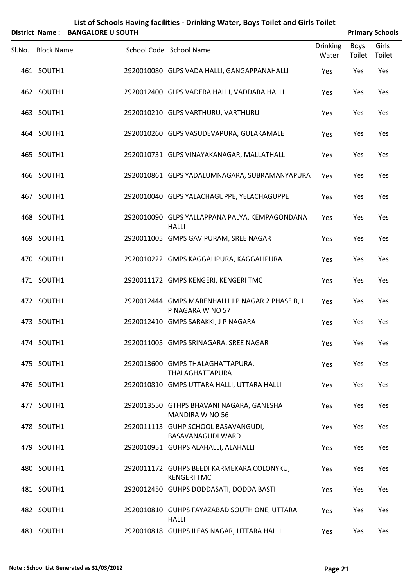|        |                   | District Name: BANGALORE U SOUTH |                                                                       |                          |                | <b>Primary Schools</b> |
|--------|-------------------|----------------------------------|-----------------------------------------------------------------------|--------------------------|----------------|------------------------|
| SI.No. | <b>Block Name</b> |                                  | School Code School Name                                               | <b>Drinking</b><br>Water | Boys<br>Toilet | Girls<br>Toilet        |
|        | 461 SOUTH1        |                                  | 2920010080 GLPS VADA HALLI, GANGAPPANAHALLI                           | Yes                      | Yes            | Yes                    |
|        | 462 SOUTH1        |                                  | 2920012400 GLPS VADERA HALLI, VADDARA HALLI                           | Yes                      | Yes            | Yes                    |
|        | 463 SOUTH1        |                                  | 2920010210 GLPS VARTHURU, VARTHURU                                    | Yes                      | Yes            | Yes                    |
|        | 464 SOUTH1        |                                  | 2920010260 GLPS VASUDEVAPURA, GULAKAMALE                              | Yes                      | Yes            | Yes                    |
|        | 465 SOUTH1        |                                  | 2920010731 GLPS VINAYAKANAGAR, MALLATHALLI                            | Yes                      | Yes            | Yes                    |
|        | 466 SOUTH1        |                                  | 2920010861 GLPS YADALUMNAGARA, SUBRAMANYAPURA                         | Yes                      | Yes            | Yes                    |
|        | 467 SOUTH1        |                                  | 2920010040 GLPS YALACHAGUPPE, YELACHAGUPPE                            | Yes                      | Yes            | Yes                    |
|        | 468 SOUTH1        |                                  | 2920010090 GLPS YALLAPPANA PALYA, KEMPAGONDANA<br><b>HALLI</b>        | Yes                      | Yes            | Yes                    |
|        | 469 SOUTH1        |                                  | 2920011005 GMPS GAVIPURAM, SREE NAGAR                                 | Yes                      | Yes            | Yes                    |
|        | 470 SOUTH1        |                                  | 2920010222 GMPS KAGGALIPURA, KAGGALIPURA                              | Yes                      | Yes            | Yes                    |
|        | 471 SOUTH1        |                                  | 2920011172 GMPS KENGERI, KENGERI TMC                                  | Yes                      | Yes            | Yes                    |
|        | 472 SOUTH1        |                                  | 2920012444 GMPS MARENHALLI J P NAGAR 2 PHASE B, J<br>P NAGARA W NO 57 | Yes                      | Yes            | Yes                    |
|        | 473 SOUTH1        |                                  | 2920012410 GMPS SARAKKI, J P NAGARA                                   | Yes                      | Yes            | Yes                    |
|        | 474 SOUTH1        |                                  | 2920011005 GMPS SRINAGARA, SREE NAGAR                                 | Yes                      | Yes            | Yes                    |
|        | 475 SOUTH1        |                                  | 2920013600 GMPS THALAGHATTAPURA,<br>THALAGHATTAPURA                   | Yes                      | Yes            | Yes                    |
|        | 476 SOUTH1        |                                  | 2920010810 GMPS UTTARA HALLI, UTTARA HALLI                            | Yes                      | Yes            | Yes                    |
|        | 477 SOUTH1        |                                  | 2920013550 GTHPS BHAVANI NAGARA, GANESHA<br><b>MANDIRA W NO 56</b>    | Yes                      | Yes            | Yes                    |
|        | 478 SOUTH1        |                                  | 2920011113 GUHP SCHOOL BASAVANGUDI,<br>BASAVANAGUDI WARD              | Yes                      | Yes            | Yes                    |
|        | 479 SOUTH1        |                                  | 2920010951 GUHPS ALAHALLI, ALAHALLI                                   | Yes                      | Yes            | Yes                    |
|        | 480 SOUTH1        |                                  | 2920011172 GUHPS BEEDI KARMEKARA COLONYKU,<br><b>KENGERI TMC</b>      | Yes                      | Yes            | Yes                    |
|        | 481 SOUTH1        |                                  | 2920012450 GUHPS DODDASATI, DODDA BASTI                               | Yes                      | Yes            | Yes                    |
|        | 482 SOUTH1        |                                  | 2920010810 GUHPS FAYAZABAD SOUTH ONE, UTTARA<br><b>HALLI</b>          | Yes                      | Yes            | Yes                    |
|        | 483 SOUTH1        |                                  | 2920010818 GUHPS ILEAS NAGAR, UTTARA HALLI                            | Yes                      | Yes            | Yes                    |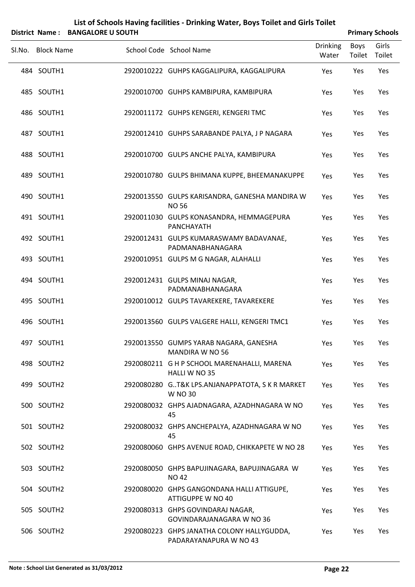|        |                   | District Name: BANGALORE U SOUTH |                                                                  |                          |                | <b>Primary Schools</b> |
|--------|-------------------|----------------------------------|------------------------------------------------------------------|--------------------------|----------------|------------------------|
| Sl.No. | <b>Block Name</b> |                                  | School Code School Name                                          | <b>Drinking</b><br>Water | Boys<br>Toilet | Girls<br>Toilet        |
|        | 484 SOUTH1        |                                  | 2920010222 GUHPS KAGGALIPURA, KAGGALIPURA                        | Yes                      | Yes            | Yes                    |
|        | 485 SOUTH1        |                                  | 2920010700 GUHPS KAMBIPURA, KAMBIPURA                            | Yes                      | Yes            | Yes                    |
|        | 486 SOUTH1        |                                  | 2920011172 GUHPS KENGERI, KENGERI TMC                            | Yes                      | Yes            | Yes                    |
|        | 487 SOUTH1        |                                  | 2920012410 GUHPS SARABANDE PALYA, J P NAGARA                     | Yes                      | Yes            | Yes                    |
|        | 488 SOUTH1        |                                  | 2920010700 GULPS ANCHE PALYA, KAMBIPURA                          | Yes                      | Yes            | Yes                    |
|        | 489 SOUTH1        |                                  | 2920010780 GULPS BHIMANA KUPPE, BHEEMANAKUPPE                    | Yes                      | Yes            | Yes                    |
|        | 490 SOUTH1        |                                  | 2920013550 GULPS KARISANDRA, GANESHA MANDIRA W<br><b>NO 56</b>   | Yes                      | Yes            | Yes                    |
|        | 491 SOUTH1        |                                  | 2920011030 GULPS KONASANDRA, HEMMAGEPURA<br>PANCHAYATH           | Yes                      | Yes            | Yes                    |
|        | 492 SOUTH1        |                                  | 2920012431 GULPS KUMARASWAMY BADAVANAE,<br>PADMANABHANAGARA      | Yes                      | Yes            | Yes                    |
|        | 493 SOUTH1        |                                  | 2920010951 GULPS M G NAGAR, ALAHALLI                             | Yes                      | Yes            | Yes                    |
|        | 494 SOUTH1        |                                  | 2920012431 GULPS MINAJ NAGAR,<br>PADMANABHANAGARA                | Yes                      | Yes            | Yes                    |
|        | 495 SOUTH1        |                                  | 2920010012 GULPS TAVAREKERE, TAVAREKERE                          | Yes                      | Yes            | Yes                    |
|        | 496 SOUTH1        |                                  | 2920013560 GULPS VALGERE HALLI, KENGERI TMC1                     | Yes                      | Yes            | Yes                    |
|        | 497 SOUTH1        |                                  | 2920013550 GUMPS YARAB NAGARA, GANESHA<br><b>MANDIRA W NO 56</b> | Yes                      | Yes            | Yes                    |
|        | 498 SOUTH2        |                                  | 2920080211 G H P SCHOOL MARENAHALLI, MARENA<br>HALLI W NO 35     | Yes                      | Yes            | Yes                    |
|        | 499 SOUTH2        |                                  | 2920080280 GT&K LPS.ANJANAPPATOTA, S K R MARKET<br>W NO 30       | Yes                      | Yes            | Yes                    |
|        | 500 SOUTH2        |                                  | 2920080032 GHPS AJADNAGARA, AZADHNAGARA W NO<br>45               | Yes                      | Yes            | Yes                    |
|        | 501 SOUTH2        |                                  | 2920080032 GHPS ANCHEPALYA, AZADHNAGARA W NO<br>45               | Yes                      | Yes            | Yes                    |
|        | 502 SOUTH2        |                                  | 2920080060 GHPS AVENUE ROAD, CHIKKAPETE W NO 28                  | Yes                      | Yes            | Yes                    |
|        | 503 SOUTH2        |                                  | 2920080050 GHPS BAPUJINAGARA, BAPUJINAGARA W<br><b>NO 42</b>     | Yes                      | Yes            | Yes                    |
|        | 504 SOUTH2        |                                  | 2920080020 GHPS GANGONDANA HALLI ATTIGUPE,<br>ATTIGUPPE W NO 40  | Yes                      | Yes            | Yes                    |
|        | 505 SOUTH2        |                                  | 2920080313 GHPS GOVINDARAJ NAGAR,<br>GOVINDARAJANAGARA W NO 36   | Yes                      | Yes            | Yes                    |
|        | 506 SOUTH2        |                                  | 2920080223 GHPS JANATHA COLONY HALLYGUDDA,                       | Yes                      | Yes            | Yes                    |

PADARAYANAPURA W NO 43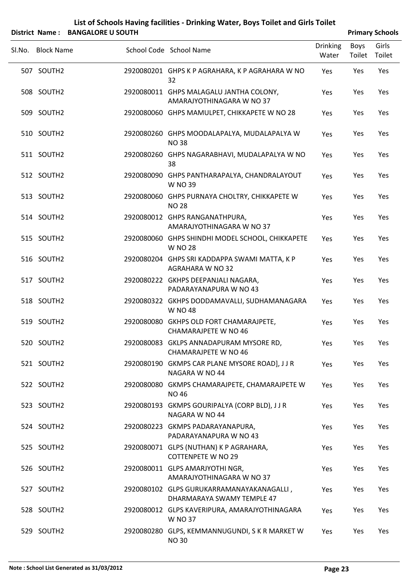|        |                   | District Name: BANGALORE U SOUTH |                                                                          |                          |                | <b>Primary Schools</b> |
|--------|-------------------|----------------------------------|--------------------------------------------------------------------------|--------------------------|----------------|------------------------|
| SI.No. | <b>Block Name</b> |                                  | School Code School Name                                                  | <b>Drinking</b><br>Water | Boys<br>Toilet | Girls<br>Toilet        |
|        | 507 SOUTH2        |                                  | 2920080201 GHPS K P AGRAHARA, K P AGRAHARA W NO<br>32                    | Yes                      | Yes            | Yes                    |
|        | 508 SOUTH2        |                                  | 2920080011 GHPS MALAGALU JANTHA COLONY,<br>AMARAJYOTHINAGARA W NO 37     | Yes                      | Yes            | Yes                    |
|        | 509 SOUTH2        |                                  | 2920080060 GHPS MAMULPET, CHIKKAPETE W NO 28                             | Yes                      | Yes            | Yes                    |
|        | 510 SOUTH2        |                                  | 2920080260 GHPS MOODALAPALYA, MUDALAPALYA W<br><b>NO38</b>               | Yes                      | Yes            | Yes                    |
|        | 511 SOUTH2        |                                  | 2920080260 GHPS NAGARABHAVI, MUDALAPALYA W NO<br>38                      | Yes                      | Yes            | Yes                    |
|        | 512 SOUTH2        |                                  | 2920080090 GHPS PANTHARAPALYA, CHANDRALAYOUT<br>W NO 39                  | Yes                      | Yes            | Yes                    |
|        | 513 SOUTH2        |                                  | 2920080060 GHPS PURNAYA CHOLTRY, CHIKKAPETE W<br><b>NO 28</b>            | Yes                      | Yes            | Yes                    |
|        | 514 SOUTH2        |                                  | 2920080012 GHPS RANGANATHPURA,<br>AMARAJYOTHINAGARA W NO 37              | Yes                      | Yes            | Yes                    |
|        | 515 SOUTH2        |                                  | 2920080060 GHPS SHINDHI MODEL SCHOOL, CHIKKAPETE<br><b>W NO 28</b>       | Yes                      | Yes            | Yes                    |
|        | 516 SOUTH2        |                                  | 2920080204 GHPS SRI KADDAPPA SWAMI MATTA, K P<br><b>AGRAHARA W NO 32</b> | Yes                      | Yes            | Yes                    |
|        | 517 SOUTH2        |                                  | 2920080222 GKHPS DEEPANJALI NAGARA,<br>PADARAYANAPURA W NO 43            | Yes                      | Yes            | Yes                    |
|        | 518 SOUTH2        |                                  | 2920080322 GKHPS DODDAMAVALLI, SUDHAMANAGARA<br>W NO 48                  | Yes                      | Yes            | Yes                    |
|        | 519 SOUTH2        |                                  | 2920080080 GKHPS OLD FORT CHAMARAJPETE,<br><b>CHAMARAJPETE W NO 46</b>   | Yes                      | Yes            | Yes                    |
|        | 520 SOUTH2        |                                  | 2920080083 GKLPS ANNADAPURAM MYSORE RD,<br><b>CHAMARAJPETE W NO 46</b>   | Yes                      | Yes            | Yes                    |
|        | 521 SOUTH2        |                                  | 2920080190 GKMPS CAR PLANE MYSORE ROAD], JJR<br>NAGARA W NO 44           | Yes                      | Yes            | Yes                    |
|        | 522 SOUTH2        |                                  | 2920080080 GKMPS CHAMARAJPETE, CHAMARAJPETE W<br><b>NO 46</b>            | Yes                      | Yes            | Yes                    |
|        | 523 SOUTH2        |                                  | 2920080193 GKMPS GOURIPALYA (CORP BLD), JJR<br>NAGARA W NO 44            | Yes                      | Yes            | Yes                    |
|        | 524 SOUTH2        |                                  | 2920080223 GKMPS PADARAYANAPURA,<br>PADARAYANAPURA W NO 43               | Yes                      | Yes            | Yes                    |
|        | 525 SOUTH2        |                                  | 2920080071 GLPS (NUTHAN) K P AGRAHARA,<br><b>COTTENPETE W NO 29</b>      | Yes                      | Yes            | Yes                    |
|        | 526 SOUTH2        |                                  | 2920080011 GLPS AMARJYOTHI NGR,<br>AMARAJYOTHINAGARA W NO 37             | Yes                      | Yes            | Yes                    |
|        | 527 SOUTH2        |                                  | 2920080102 GLPS GURUKARRAMANAYAKANAGALLI,<br>DHARMARAYA SWAMY TEMPLE 47  | Yes                      | Yes            | Yes                    |
|        | 528 SOUTH2        |                                  | 2920080012 GLPS KAVERIPURA, AMARAJYOTHINAGARA<br><b>W NO 37</b>          | Yes                      | Yes            | Yes                    |
|        | 529 SOUTH2        |                                  | 2920080280 GLPS, KEMMANNUGUNDI, S K R MARKET W<br><b>NO30</b>            | Yes                      | Yes            | Yes                    |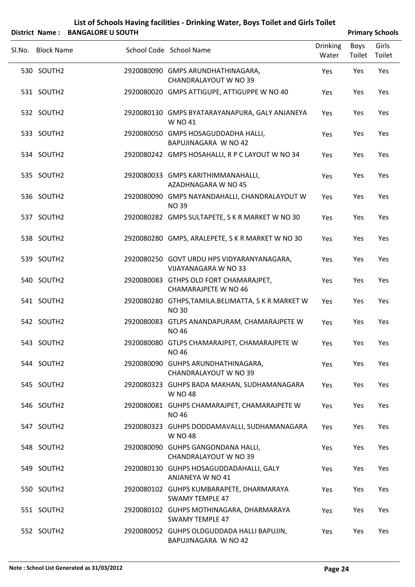| District Name: BANGALORE U SOUTH |                                                                       |                          |                | <b>Primary Schools</b> |
|----------------------------------|-----------------------------------------------------------------------|--------------------------|----------------|------------------------|
| Sl.No. Block Name                | School Code School Name                                               | <b>Drinking</b><br>Water | Boys<br>Toilet | Girls<br>Toilet        |
| 530 SOUTH2                       | 2920080090 GMPS ARUNDHATHINAGARA,<br><b>CHANDRALAYOUT W NO 39</b>     | Yes                      | Yes            | Yes                    |
| 531 SOUTH2                       | 2920080020 GMPS ATTIGUPE, ATTIGUPPE W NO 40                           | Yes                      | Yes            | Yes                    |
| 532 SOUTH2                       | 2920080130 GMPS BYATARAYANAPURA, GALY ANJANEYA<br>W NO 41             | Yes                      | Yes            | Yes                    |
| 533 SOUTH2                       | 2920080050 GMPS HOSAGUDDADHA HALLI,<br>BAPUJINAGARA W NO 42           | Yes                      | Yes            | Yes                    |
| 534 SOUTH2                       | 2920080242 GMPS HOSAHALLI, R P C LAYOUT W NO 34                       | Yes                      | Yes            | Yes                    |
| 535 SOUTH2                       | 2920080033 GMPS KARITHIMMANAHALLI,<br>AZADHNAGARA W NO 45             | Yes                      | Yes            | Yes                    |
| 536 SOUTH2                       | 2920080090 GMPS NAYANDAHALLI, CHANDRALAYOUT W<br><b>NO39</b>          | Yes                      | Yes            | Yes                    |
| 537 SOUTH2                       | 2920080282 GMPS SULTAPETE, S K R MARKET W NO 30                       | Yes                      | Yes            | Yes                    |
| 538 SOUTH2                       | 2920080280 GMPS, ARALEPETE, S K R MARKET W NO 30                      | Yes                      | Yes            | Yes                    |
| 539 SOUTH2                       | 2920080250 GOVT URDU HPS VIDYARANYANAGARA,<br>VIJAYANAGARA W NO 33    | Yes                      | Yes            | Yes                    |
| 540 SOUTH2                       | 2920080083 GTHPS OLD FORT CHAMARAJPET,<br><b>CHAMARAJPETE W NO 46</b> | Yes                      | Yes            | Yes                    |
| 541 SOUTH2                       | 2920080280 GTHPS, TAMILA. BELIMATTA, S K R MARKET W<br><b>NO30</b>    | Yes                      | Yes            | Yes                    |
| 542 SOUTH2                       | 2920080083 GTLPS ANANDAPURAM, CHAMARAJPETE W<br><b>NO 46</b>          | Yes                      | Yes            | Yes                    |
| 543 SOUTH2                       | 2920080080 GTLPS CHAMARAJPET, CHAMARAJPETE W<br><b>NO 46</b>          | Yes                      | Yes            | Yes                    |
| 544 SOUTH2                       | 2920080090 GUHPS ARUNDHATHINAGARA,<br><b>CHANDRALAYOUT W NO 39</b>    | Yes                      | Yes            | Yes                    |
| 545 SOUTH2                       | 2920080323 GUHPS BADA MAKHAN, SUDHAMANAGARA<br>W NO 48                | Yes                      | Yes            | Yes                    |
| 546 SOUTH2                       | 2920080081 GUHPS CHAMARAJPET, CHAMARAJPETE W<br><b>NO 46</b>          | Yes                      | Yes            | Yes                    |
| 547 SOUTH2                       | 2920080323 GUHPS DODDAMAVALLI, SUDHAMANAGARA<br>W NO 48               | Yes                      | Yes            | Yes                    |
| 548 SOUTH2                       | 2920080090 GUHPS GANGONDANA HALLI,<br><b>CHANDRALAYOUT W NO 39</b>    | Yes                      | Yes            | Yes                    |
| 549 SOUTH2                       | 2920080130 GUHPS HOSAGUDDADAHALLI, GALY<br>ANJANEYA W NO 41           | Yes                      | Yes            | Yes                    |
| 550 SOUTH2                       | 2920080102 GUHPS KUMBARAPETE, DHARMARAYA<br><b>SWAMY TEMPLE 47</b>    | Yes                      | Yes            | Yes                    |
| 551 SOUTH2                       | 2920080102 GUHPS MOTHINAGARA, DHARMARAYA<br><b>SWAMY TEMPLE 47</b>    | Yes                      | Yes            | Yes                    |
| 552 SOUTH2                       | 2920080052 GUHPS OLDGUDDADA HALLI BAPUJIN,<br>BAPUJINAGARA W NO 42    | Yes                      | Yes            | Yes                    |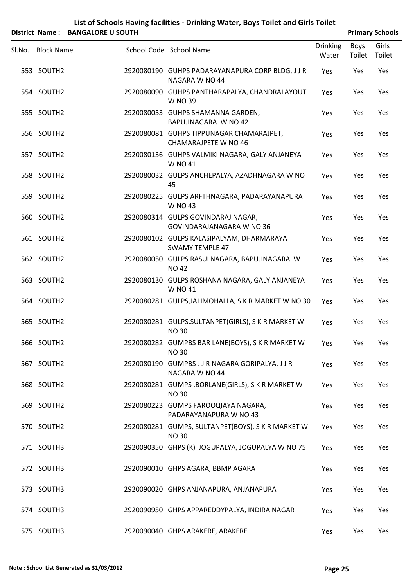|        |                   | District Name: BANGALORE U SOUTH |                                                                         |                          |                | <b>Primary Schools</b> |
|--------|-------------------|----------------------------------|-------------------------------------------------------------------------|--------------------------|----------------|------------------------|
| SI.No. | <b>Block Name</b> |                                  | School Code School Name                                                 | <b>Drinking</b><br>Water | Boys<br>Toilet | Girls<br>Toilet        |
|        | 553 SOUTH2        |                                  | 2920080190 GUHPS PADARAYANAPURA CORP BLDG, J J R<br>NAGARA W NO 44      | Yes                      | Yes            | Yes                    |
|        | 554 SOUTH2        |                                  | 2920080090 GUHPS PANTHARAPALYA, CHANDRALAYOUT<br><b>W NO 39</b>         | Yes                      | Yes            | Yes                    |
|        | 555 SOUTH2        |                                  | 2920080053 GUHPS SHAMANNA GARDEN,<br>BAPUJINAGARA W NO 42               | Yes                      | Yes            | Yes                    |
|        | 556 SOUTH2        |                                  | 2920080081 GUHPS TIPPUNAGAR CHAMARAJPET,<br><b>CHAMARAJPETE W NO 46</b> | Yes                      | Yes            | Yes                    |
|        | 557 SOUTH2        |                                  | 2920080136 GUHPS VALMIKI NAGARA, GALY ANJANEYA<br>W NO 41               | Yes                      | Yes            | Yes                    |
|        | 558 SOUTH2        |                                  | 2920080032 GULPS ANCHEPALYA, AZADHNAGARA W NO<br>45                     | Yes                      | Yes            | Yes                    |
|        | 559 SOUTH2        |                                  | 2920080225 GULPS ARFTHNAGARA, PADARAYANAPURA<br>W NO 43                 | Yes                      | Yes            | Yes                    |
|        | 560 SOUTH2        |                                  | 2920080314 GULPS GOVINDARAJ NAGAR,<br>GOVINDARAJANAGARA W NO 36         | Yes                      | Yes            | Yes                    |
|        | 561 SOUTH2        |                                  | 2920080102 GULPS KALASIPALYAM, DHARMARAYA<br><b>SWAMY TEMPLE 47</b>     | Yes                      | Yes            | Yes                    |
|        | 562 SOUTH2        |                                  | 2920080050 GULPS RASULNAGARA, BAPUJINAGARA W<br><b>NO 42</b>            | Yes                      | Yes            | Yes                    |
|        | 563 SOUTH2        |                                  | 2920080130 GULPS ROSHANA NAGARA, GALY ANJANEYA<br>W NO 41               | Yes                      | Yes            | Yes                    |
|        | 564 SOUTH2        |                                  | 2920080281 GULPS, JALIMOHALLA, S K R MARKET W NO 30                     | Yes                      | Yes            | Yes                    |
|        | 565 SOUTH2        |                                  | 2920080281 GULPS.SULTANPET(GIRLS), S K R MARKET W<br><b>NO 30</b>       | Yes                      | Yes            | Yes                    |
|        | 566 SOUTH2        |                                  | 2920080282 GUMPBS BAR LANE(BOYS), S K R MARKET W<br><b>NO30</b>         | Yes                      | Yes            | Yes                    |
|        | 567 SOUTH2        |                                  | 2920080190 GUMPBS J J R NAGARA GORIPALYA, J J R<br>NAGARA W NO 44       | Yes                      | Yes            | Yes                    |
|        | 568 SOUTH2        |                                  | 2920080281 GUMPS, BORLANE(GIRLS), S K R MARKET W<br><b>NO30</b>         | Yes                      | Yes            | Yes                    |
|        | 569 SOUTH2        |                                  | 2920080223 GUMPS FAROOQIAYA NAGARA,<br>PADARAYANAPURA W NO 43           | Yes                      | Yes            | Yes                    |
|        | 570 SOUTH2        |                                  | 2920080281 GUMPS, SULTANPET(BOYS), S K R MARKET W<br><b>NO30</b>        | Yes                      | Yes            | Yes                    |
|        | 571 SOUTH3        |                                  | 2920090350 GHPS (K) JOGUPALYA, JOGUPALYA W NO 75                        | Yes                      | Yes            | Yes                    |
|        | 572 SOUTH3        |                                  | 2920090010 GHPS AGARA, BBMP AGARA                                       | Yes                      | Yes            | Yes                    |
|        | 573 SOUTH3        |                                  | 2920090020 GHPS ANJANAPURA, ANJANAPURA                                  | Yes                      | Yes            | Yes                    |
|        | 574 SOUTH3        |                                  | 2920090950 GHPS APPAREDDYPALYA, INDIRA NAGAR                            | Yes                      | Yes            | Yes                    |
|        | 575 SOUTH3        |                                  | 2920090040 GHPS ARAKERE, ARAKERE                                        | Yes                      | Yes            | Yes                    |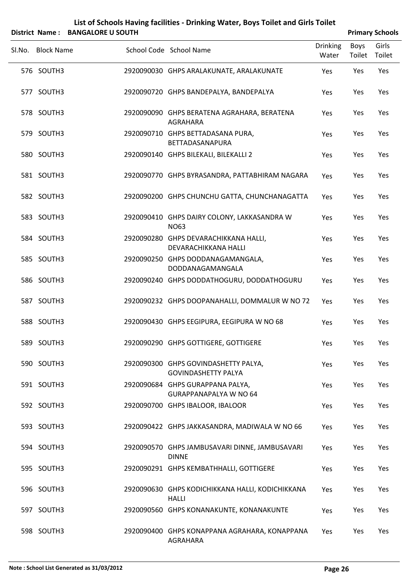|        |                   | District Name: BANGALORE U SOUTH |                                                                    |                          |                | <b>Primary Schools</b> |  |
|--------|-------------------|----------------------------------|--------------------------------------------------------------------|--------------------------|----------------|------------------------|--|
| Sl.No. | <b>Block Name</b> |                                  | School Code School Name                                            | <b>Drinking</b><br>Water | Boys<br>Toilet | Girls<br>Toilet        |  |
|        | 576 SOUTH3        |                                  | 2920090030 GHPS ARALAKUNATE, ARALAKUNATE                           | Yes                      | Yes            | Yes                    |  |
|        | 577 SOUTH3        |                                  | 2920090720 GHPS BANDEPALYA, BANDEPALYA                             | Yes                      | Yes            | Yes                    |  |
|        | 578 SOUTH3        |                                  | 2920090090 GHPS BERATENA AGRAHARA, BERATENA<br>AGRAHARA            | Yes                      | Yes            | Yes                    |  |
|        | 579 SOUTH3        |                                  | 2920090710 GHPS BETTADASANA PURA,<br>BETTADASANAPURA               | Yes                      | Yes            | Yes                    |  |
|        | 580 SOUTH3        |                                  | 2920090140 GHPS BILEKALI, BILEKALLI 2                              | Yes                      | Yes            | Yes                    |  |
|        | 581 SOUTH3        |                                  | 2920090770 GHPS BYRASANDRA, PATTABHIRAM NAGARA                     | Yes                      | Yes            | Yes                    |  |
|        | 582 SOUTH3        |                                  | 2920090200 GHPS CHUNCHU GATTA, CHUNCHANAGATTA                      | Yes                      | Yes            | Yes                    |  |
|        | 583 SOUTH3        |                                  | 2920090410 GHPS DAIRY COLONY, LAKKASANDRA W<br><b>NO63</b>         | Yes                      | Yes            | Yes                    |  |
|        | 584 SOUTH3        |                                  | 2920090280 GHPS DEVARACHIKKANA HALLI,<br>DEVARACHIKKANA HALLI      | Yes                      | Yes            | Yes                    |  |
|        | 585 SOUTH3        |                                  | 2920090250 GHPS DODDANAGAMANGALA,<br>DODDANAGAMANGALA              | Yes                      | Yes            | Yes                    |  |
|        | 586 SOUTH3        |                                  | 2920090240 GHPS DODDATHOGURU, DODDATHOGURU                         | Yes                      | Yes            | Yes                    |  |
|        | 587 SOUTH3        |                                  | 2920090232 GHPS DOOPANAHALLI, DOMMALUR W NO 72                     | Yes                      | Yes            | Yes                    |  |
|        | 588 SOUTH3        |                                  | 2920090430 GHPS EEGIPURA, EEGIPURA W NO 68                         | Yes                      | Yes            | Yes                    |  |
|        | 589 SOUTH3        |                                  | 2920090290 GHPS GOTTIGERE, GOTTIGERE                               | Yes                      | Yes            | Yes                    |  |
|        | 590 SOUTH3        |                                  | 2920090300 GHPS GOVINDASHETTY PALYA,<br><b>GOVINDASHETTY PALYA</b> | Yes                      | Yes            | Yes                    |  |
|        | 591 SOUTH3        |                                  | 2920090684 GHPS GURAPPANA PALYA,<br><b>GURAPPANAPALYA W NO 64</b>  | Yes                      | Yes            | Yes                    |  |
|        | 592 SOUTH3        |                                  | 2920090700 GHPS IBALOOR, IBALOOR                                   | Yes                      | Yes            | Yes                    |  |
|        | 593 SOUTH3        |                                  | 2920090422 GHPS JAKKASANDRA, MADIWALA W NO 66                      | Yes                      | Yes            | Yes                    |  |
|        | 594 SOUTH3        |                                  | 2920090570 GHPS JAMBUSAVARI DINNE, JAMBUSAVARI<br><b>DINNE</b>     | Yes                      | Yes            | Yes                    |  |
|        | 595 SOUTH3        |                                  | 2920090291 GHPS KEMBATHHALLI, GOTTIGERE                            | Yes                      | Yes            | Yes                    |  |
|        | 596 SOUTH3        |                                  | 2920090630 GHPS KODICHIKKANA HALLI, KODICHIKKANA<br><b>HALLI</b>   | Yes                      | Yes            | Yes                    |  |
|        | 597 SOUTH3        |                                  | 2920090560 GHPS KONANAKUNTE, KONANAKUNTE                           | Yes                      | Yes            | Yes                    |  |

SOUTH3 2920090400 GHPS KONAPPANA AGRAHARA, KONAPPANA 598 Yes Yes Yes

AGRAHARA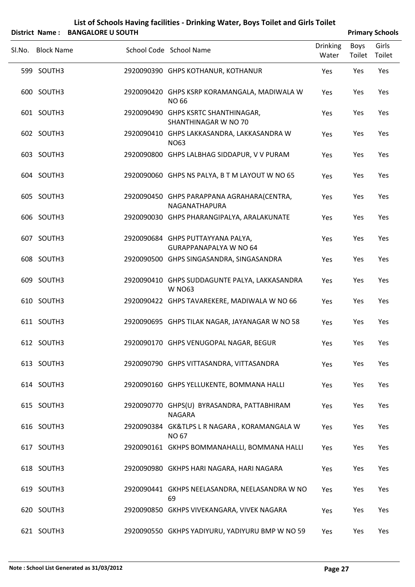| List of Schools Having facilities - Drinking Water, Boys Toilet and Girls Toilet |
|----------------------------------------------------------------------------------|
|                                                                                  |

|        | District Name: BANGALORE U SOUTH |                                                                    |                          |                | <b>Primary Schools</b> |
|--------|----------------------------------|--------------------------------------------------------------------|--------------------------|----------------|------------------------|
| Sl.No. | <b>Block Name</b>                | School Code School Name                                            | <b>Drinking</b><br>Water | Boys<br>Toilet | Girls<br>Toilet        |
|        | 599 SOUTH3                       | 2920090390 GHPS KOTHANUR, KOTHANUR                                 | Yes                      | Yes            | Yes                    |
|        | 600 SOUTH3                       | 2920090420 GHPS KSRP KORAMANGALA, MADIWALA W<br><b>NO 66</b>       | Yes                      | Yes            | Yes                    |
|        | 601 SOUTH3                       | 2920090490 GHPS KSRTC SHANTHINAGAR,<br>SHANTHINAGAR W NO 70        | Yes                      | Yes            | Yes                    |
|        | 602 SOUTH3                       | 2920090410 GHPS LAKKASANDRA, LAKKASANDRA W<br><b>NO63</b>          | Yes                      | Yes            | Yes                    |
|        | 603 SOUTH3                       | 2920090800 GHPS LALBHAG SIDDAPUR, V V PURAM                        | Yes                      | Yes            | Yes                    |
|        | 604 SOUTH3                       | 2920090060 GHPS NS PALYA, B T M LAYOUT W NO 65                     | Yes                      | Yes            | Yes                    |
|        | 605 SOUTH3                       | 2920090450 GHPS PARAPPANA AGRAHARA(CENTRA,<br>NAGANATHAPURA        | Yes                      | Yes            | Yes                    |
|        | 606 SOUTH3                       | 2920090030 GHPS PHARANGIPALYA, ARALAKUNATE                         | Yes                      | Yes            | Yes                    |
|        | 607 SOUTH3                       | 2920090684 GHPS PUTTAYYANA PALYA,<br><b>GURAPPANAPALYA W NO 64</b> | Yes                      | Yes            | Yes                    |
|        | 608 SOUTH3                       | 2920090500 GHPS SINGASANDRA, SINGASANDRA                           | Yes                      | Yes            | Yes                    |
|        | 609 SOUTH3                       | 2920090410 GHPS SUDDAGUNTE PALYA, LAKKASANDRA<br><b>W NO63</b>     | Yes                      | Yes            | Yes                    |
|        | 610 SOUTH3                       | 2920090422 GHPS TAVAREKERE, MADIWALA W NO 66                       | Yes                      | Yes            | Yes                    |
|        | 611 SOUTH3                       | 2920090695 GHPS TILAK NAGAR, JAYANAGAR W NO 58                     | Yes                      | Yes            | Yes                    |
|        | 612 SOUTH3                       | 2920090170 GHPS VENUGOPAL NAGAR, BEGUR                             | Yes                      | Yes            | Yes                    |
|        | 613 SOUTH3                       | 2920090790 GHPS VITTASANDRA, VITTASANDRA                           | Yes                      | Yes            | Yes                    |
|        | 614 SOUTH3                       | 2920090160 GHPS YELLUKENTE, BOMMANA HALLI                          | Yes                      | Yes            | Yes                    |
|        | 615 SOUTH3                       | 2920090770 GHPS(U) BYRASANDRA, PATTABHIRAM<br><b>NAGARA</b>        | Yes                      | Yes            | Yes                    |
|        | 616 SOUTH3                       | 2920090384 GK&TLPS L R NAGARA, KORAMANGALA W<br><b>NO 67</b>       | Yes                      | Yes            | Yes                    |
|        | 617 SOUTH3                       | 2920090161 GKHPS BOMMANAHALLI, BOMMANA HALLI                       | Yes                      | Yes            | Yes                    |
|        | 618 SOUTH3                       | 2920090980 GKHPS HARI NAGARA, HARI NAGARA                          | Yes                      | Yes            | Yes                    |
|        | 619 SOUTH3                       | 2920090441 GKHPS NEELASANDRA, NEELASANDRA W NO<br>69               | Yes                      | Yes            | Yes                    |
|        | 620 SOUTH3                       | 2920090850 GKHPS VIVEKANGARA, VIVEK NAGARA                         | Yes                      | Yes            | Yes                    |
|        | 621 SOUTH3                       | 2920090550 GKHPS YADIYURU, YADIYURU BMP W NO 59                    | Yes                      | Yes            | Yes                    |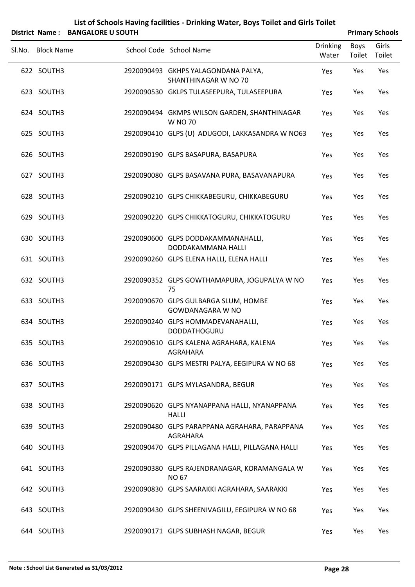| List of Schools Having facilities - Drinking Water, Boys Toilet and Girls Toilet |                        |
|----------------------------------------------------------------------------------|------------------------|
| District Name: BANGALORE U SOUTH                                                 | <b>Primary Schools</b> |

|                   |                                                                 |                          |                | <b>THING Y JUNUAL</b> |
|-------------------|-----------------------------------------------------------------|--------------------------|----------------|-----------------------|
| Sl.No. Block Name | School Code School Name                                         | <b>Drinking</b><br>Water | Boys<br>Toilet | Girls<br>Toilet       |
| 622 SOUTH3        | 2920090493 GKHPS YALAGONDANA PALYA,<br>SHANTHINAGAR W NO 70     | Yes                      | Yes            | Yes                   |
| 623 SOUTH3        | 2920090530 GKLPS TULASEEPURA, TULASEEPURA                       | Yes                      | Yes            | Yes                   |
| 624 SOUTH3        | 2920090494 GKMPS WILSON GARDEN, SHANTHINAGAR<br><b>W NO 70</b>  | Yes                      | Yes            | Yes                   |
| 625 SOUTH3        | 2920090410 GLPS (U) ADUGODI, LAKKASANDRA W NO63                 | Yes                      | Yes            | Yes                   |
| 626 SOUTH3        | 2920090190 GLPS BASAPURA, BASAPURA                              | Yes                      | Yes            | Yes                   |
| 627 SOUTH3        | 2920090080 GLPS BASAVANA PURA, BASAVANAPURA                     | Yes                      | Yes            | Yes                   |
| 628 SOUTH3        | 2920090210 GLPS CHIKKABEGURU, CHIKKABEGURU                      | Yes                      | Yes            | Yes                   |
| 629 SOUTH3        | 2920090220 GLPS CHIKKATOGURU, CHIKKATOGURU                      | Yes                      | Yes            | Yes                   |
| 630 SOUTH3        | 2920090600 GLPS DODDAKAMMANAHALLI,<br>DODDAKAMMANA HALLI        | Yes                      | Yes            | Yes                   |
| 631 SOUTH3        | 2920090260 GLPS ELENA HALLI, ELENA HALLI                        | Yes                      | Yes            | Yes                   |
| 632 SOUTH3        | 2920090352 GLPS GOWTHAMAPURA, JOGUPALYA W NO<br>75              | Yes                      | Yes            | Yes                   |
| 633 SOUTH3        | 2920090670 GLPS GULBARGA SLUM, HOMBE<br><b>GOWDANAGARA W NO</b> | Yes                      | Yes            | Yes                   |
| 634 SOUTH3        | 2920090240 GLPS HOMMADEVANAHALLI,<br><b>DODDATHOGURU</b>        | Yes                      | Yes            | Yes                   |
| 635 SOUTH3        | 2920090610 GLPS KALENA AGRAHARA, KALENA<br>AGRAHARA             | Yes                      | Yes            | Yes                   |
| 636 SOUTH3        | 2920090430 GLPS MESTRI PALYA, EEGIPURA W NO 68                  | Yes                      | Yes            | Yes                   |
| 637 SOUTH3        | 2920090171 GLPS MYLASANDRA, BEGUR                               | Yes                      | Yes            | Yes                   |
| 638 SOUTH3        | 2920090620 GLPS NYANAPPANA HALLI, NYANAPPANA<br><b>HALLI</b>    | Yes                      | Yes            | Yes                   |
| 639 SOUTH3        | 2920090480 GLPS PARAPPANA AGRAHARA, PARAPPANA<br>AGRAHARA       | Yes                      | Yes            | Yes                   |
| 640 SOUTH3        | 2920090470 GLPS PILLAGANA HALLI, PILLAGANA HALLI                | Yes                      | Yes            | Yes                   |
| 641 SOUTH3        | 2920090380 GLPS RAJENDRANAGAR, KORAMANGALA W<br><b>NO 67</b>    | Yes                      | Yes            | Yes                   |
| 642 SOUTH3        | 2920090830 GLPS SAARAKKI AGRAHARA, SAARAKKI                     | Yes                      | Yes            | Yes                   |
| 643 SOUTH3        | 2920090430 GLPS SHEENIVAGILU, EEGIPURA W NO 68                  | Yes                      | Yes            | Yes                   |
| 644 SOUTH3        | 2920090171 GLPS SUBHASH NAGAR, BEGUR                            | Yes                      | Yes            | Yes                   |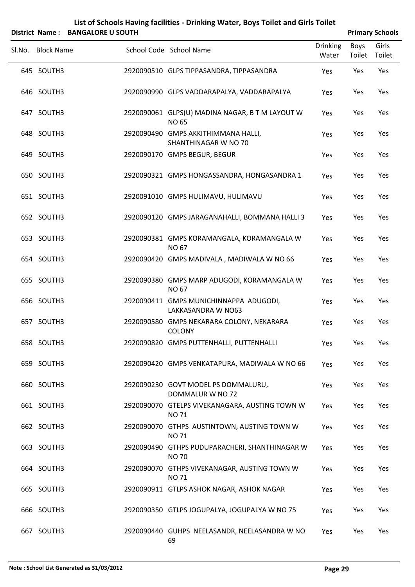| Sl.No. Block Name | School Code School Name                                         | <b>Drinking</b><br>Water | Boys<br>Toilet | Girls<br>Toilet |
|-------------------|-----------------------------------------------------------------|--------------------------|----------------|-----------------|
| 645 SOUTH3        | 2920090510 GLPS TIPPASANDRA, TIPPASANDRA                        | Yes                      | Yes            | Yes             |
| 646 SOUTH3        | 2920090990 GLPS VADDARAPALYA, VADDARAPALYA                      | Yes                      | Yes            | Yes             |
| 647 SOUTH3        | 2920090061 GLPS(U) MADINA NAGAR, B T M LAYOUT W<br><b>NO 65</b> | Yes                      | Yes            | Yes             |
| 648 SOUTH3        | 2920090490 GMPS AKKITHIMMANA HALLI,<br>SHANTHINAGAR W NO 70     | Yes                      | Yes            | Yes             |
| 649 SOUTH3        | 2920090170 GMPS BEGUR, BEGUR                                    | Yes                      | Yes            | Yes             |
| 650 SOUTH3        | 2920090321 GMPS HONGASSANDRA, HONGASANDRA 1                     | Yes                      | Yes            | Yes             |
| 651 SOUTH3        | 2920091010 GMPS HULIMAVU, HULIMAVU                              | Yes                      | Yes            | Yes             |
| 652 SOUTH3        | 2920090120 GMPS JARAGANAHALLI, BOMMANA HALLI 3                  | Yes                      | Yes            | Yes             |
| 653 SOUTH3        | 2920090381 GMPS KORAMANGALA, KORAMANGALA W<br><b>NO 67</b>      | Yes                      | Yes            | Yes             |
| 654 SOUTH3        | 2920090420 GMPS MADIVALA, MADIWALA W NO 66                      | Yes                      | Yes            | Yes             |
| 655 SOUTH3        | 2920090380 GMPS MARP ADUGODI, KORAMANGALA W<br><b>NO 67</b>     | Yes                      | Yes            | Yes             |
| 656 SOUTH3        | 2920090411 GMPS MUNICHINNAPPA ADUGODI,<br>LAKKASANDRA W NO63    | Yes                      | Yes            | Yes             |
| 657 SOUTH3        | 2920090580 GMPS NEKARARA COLONY, NEKARARA<br>COLONY             | Yes                      | Yes            | Yes             |
| 658 SOUTH3        | 2920090820 GMPS PUTTENHALLI, PUTTENHALLI                        | Yes                      | Yes            | Yes             |
| 659 SOUTH3        | 2920090420 GMPS VENKATAPURA, MADIWALA W NO 66                   | Yes                      | Yes            | Yes             |
| 660 SOUTH3        | 2920090230 GOVT MODEL PS DOMMALURU,<br>DOMMALUR W NO 72         | Yes                      | Yes            | Yes             |
| 661 SOUTH3        | 2920090070 GTELPS VIVEKANAGARA, AUSTING TOWN W<br><b>NO71</b>   | Yes                      | Yes            | Yes             |
| 662 SOUTH3        | 2920090070 GTHPS AUSTINTOWN, AUSTING TOWN W<br><b>NO71</b>      | Yes                      | Yes            | Yes             |
| 663 SOUTH3        | 2920090490 GTHPS PUDUPARACHERI, SHANTHINAGAR W<br><b>NO 70</b>  | Yes                      | Yes            | Yes             |
| 664 SOUTH3        | 2920090070 GTHPS VIVEKANAGAR, AUSTING TOWN W<br><b>NO 71</b>    | Yes                      | Yes            | Yes             |
| 665 SOUTH3        | 2920090911 GTLPS ASHOK NAGAR, ASHOK NAGAR                       | Yes                      | Yes            | Yes             |
| 666 SOUTH3        | 2920090350 GTLPS JOGUPALYA, JOGUPALYA W NO 75                   | Yes                      | Yes            | Yes             |

SOUTH3 2920090440 GUHPS NEELASANDR, NEELASANDRA W NO 667 Yes Yes Yes

69

### **List of Schools Having facilities ‐ Drinking Water, Boys Toilet and Girls Toilet District Name: BANGALORE U SOUTH Primary** Schools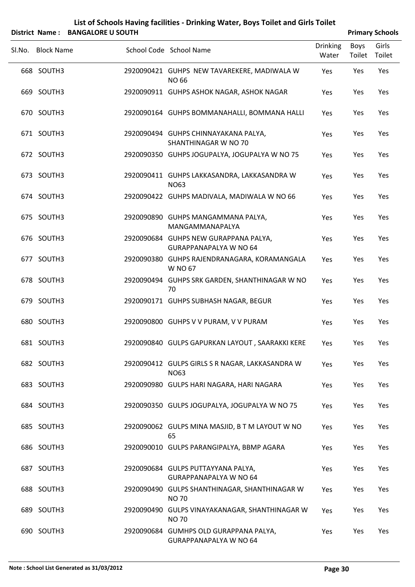| District Name: BANGALORE U SOUTH |                                                                        |                          |                | <b>Primary Schools</b> |
|----------------------------------|------------------------------------------------------------------------|--------------------------|----------------|------------------------|
| SI.No. Block Name                | School Code School Name                                                | <b>Drinking</b><br>Water | Boys<br>Toilet | Girls<br>Toilet        |
| 668 SOUTH3                       | 2920090421 GUHPS NEW TAVAREKERE, MADIWALA W<br>NO 66                   | Yes                      | Yes            | Yes                    |
| 669 SOUTH3                       | 2920090911 GUHPS ASHOK NAGAR, ASHOK NAGAR                              | Yes                      | Yes            | Yes                    |
| 670 SOUTH3                       | 2920090164 GUHPS BOMMANAHALLI, BOMMANA HALLI                           | Yes                      | Yes            | Yes                    |
| 671 SOUTH3                       | 2920090494 GUHPS CHINNAYAKANA PALYA,<br>SHANTHINAGAR W NO 70           | Yes                      | Yes            | Yes                    |
| 672 SOUTH3                       | 2920090350 GUHPS JOGUPALYA, JOGUPALYA W NO 75                          | Yes                      | Yes            | Yes                    |
| 673 SOUTH3                       | 2920090411 GUHPS LAKKASANDRA, LAKKASANDRA W<br><b>NO63</b>             | Yes                      | Yes            | Yes                    |
| 674 SOUTH3                       | 2920090422 GUHPS MADIVALA, MADIWALA W NO 66                            | Yes                      | Yes            | Yes                    |
| 675 SOUTH3                       | 2920090890 GUHPS MANGAMMANA PALYA,<br>MANGAMMANAPALYA                  | Yes                      | Yes            | Yes                    |
| 676 SOUTH3                       | 2920090684 GUHPS NEW GURAPPANA PALYA,<br><b>GURAPPANAPALYA W NO 64</b> | Yes                      | Yes            | Yes                    |
| 677 SOUTH3                       | 2920090380 GUHPS RAJENDRANAGARA, KORAMANGALA<br>W NO 67                | Yes                      | Yes            | Yes                    |
| 678 SOUTH3                       | 2920090494 GUHPS SRK GARDEN, SHANTHINAGAR W NO<br>70                   | Yes                      | Yes            | Yes                    |
| 679 SOUTH3                       | 2920090171 GUHPS SUBHASH NAGAR, BEGUR                                  | Yes                      | Yes            | Yes                    |
| 680 SOUTH3                       | 2920090800 GUHPS V V PURAM, V V PURAM                                  | Yes                      | Yes            | Yes                    |
| 681 SOUTH3                       | 2920090840 GULPS GAPURKAN LAYOUT, SAARAKKI KERE                        | Yes                      | Yes            | Yes                    |
| 682 SOUTH3                       | 2920090412 GULPS GIRLS S R NAGAR, LAKKASANDRA W<br><b>NO63</b>         | Yes                      | Yes            | Yes                    |
| 683 SOUTH3                       | 2920090980 GULPS HARI NAGARA, HARI NAGARA                              | Yes                      | Yes            | Yes                    |
| 684 SOUTH3                       | 2920090350 GULPS JOGUPALYA, JOGUPALYA W NO 75                          | Yes                      | Yes            | Yes                    |
| 685 SOUTH3                       | 2920090062 GULPS MINA MASJID, B T M LAYOUT W NO<br>65                  | Yes                      | Yes            | Yes                    |
| 686 SOUTH3                       | 2920090010 GULPS PARANGIPALYA, BBMP AGARA                              | Yes                      | Yes            | Yes                    |
| 687 SOUTH3                       | 2920090684 GULPS PUTTAYYANA PALYA,<br><b>GURAPPANAPALYA W NO 64</b>    | Yes                      | Yes            | Yes                    |
| 688 SOUTH3                       | 2920090490 GULPS SHANTHINAGAR, SHANTHINAGAR W<br><b>NO 70</b>          | Yes                      | Yes            | Yes                    |
| 689 SOUTH3                       | 2920090490 GULPS VINAYAKANAGAR, SHANTHINAGAR W<br><b>NO 70</b>         | Yes                      | Yes            | Yes                    |
| 690 SOUTH3                       | 2920090684 GUMHPS OLD GURAPPANA PALYA,<br>GURAPPANAPALYA W NO 64       | Yes                      | Yes            | Yes                    |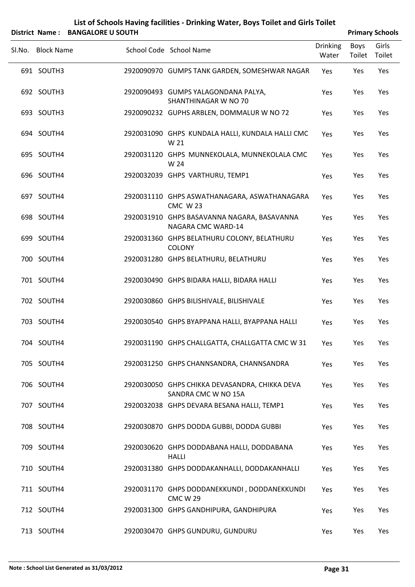| List of Schools Having facilities - Drinking Water, Boys Toilet and Girls Toilet |  |
|----------------------------------------------------------------------------------|--|
|                                                                                  |  |

|                   | District Name: BANGALORE U SOUTH |                                                                       |                          |                | <b>Primary Schools</b> |
|-------------------|----------------------------------|-----------------------------------------------------------------------|--------------------------|----------------|------------------------|
| Sl.No. Block Name |                                  | School Code School Name                                               | <b>Drinking</b><br>Water | Boys<br>Toilet | Girls<br>Toilet        |
| 691 SOUTH3        |                                  | 2920090970 GUMPS TANK GARDEN, SOMESHWAR NAGAR                         | Yes                      | Yes            | Yes                    |
| 692 SOUTH3        |                                  | 2920090493 GUMPS YALAGONDANA PALYA,<br>SHANTHINAGAR W NO 70           | Yes                      | Yes            | Yes                    |
| 693 SOUTH3        |                                  | 2920090232 GUPHS ARBLEN, DOMMALUR W NO 72                             | Yes                      | Yes            | Yes                    |
| 694 SOUTH4        |                                  | 2920031090 GHPS KUNDALA HALLI, KUNDALA HALLI CMC<br>W 21              | Yes                      | Yes            | Yes                    |
| 695 SOUTH4        |                                  | 2920031120 GHPS MUNNEKOLALA, MUNNEKOLALA CMC<br>W 24                  | Yes                      | Yes            | Yes                    |
| 696 SOUTH4        |                                  | 2920032039 GHPS VARTHURU, TEMP1                                       | Yes                      | Yes            | Yes                    |
| 697 SOUTH4        |                                  | 2920031110 GHPS ASWATHANAGARA, ASWATHANAGARA<br><b>CMC W23</b>        | Yes                      | Yes            | Yes                    |
| 698 SOUTH4        |                                  | 2920031910 GHPS BASAVANNA NAGARA, BASAVANNA<br>NAGARA CMC WARD-14     | Yes                      | Yes            | Yes                    |
| 699 SOUTH4        |                                  | 2920031360 GHPS BELATHURU COLONY, BELATHURU<br><b>COLONY</b>          | Yes                      | Yes            | Yes                    |
| 700 SOUTH4        |                                  | 2920031280 GHPS BELATHURU, BELATHURU                                  | Yes                      | Yes            | Yes                    |
| 701 SOUTH4        |                                  | 2920030490 GHPS BIDARA HALLI, BIDARA HALLI                            | Yes                      | Yes            | Yes                    |
| 702 SOUTH4        |                                  | 2920030860 GHPS BILISHIVALE, BILISHIVALE                              | Yes                      | Yes            | Yes                    |
| 703 SOUTH4        |                                  | 2920030540 GHPS BYAPPANA HALLI, BYAPPANA HALLI                        | Yes                      | Yes            | Yes                    |
| 704 SOUTH4        |                                  | 2920031190 GHPS CHALLGATTA, CHALLGATTA CMC W 31                       | Yes                      | Yes            | Yes                    |
| 705 SOUTH4        |                                  | 2920031250 GHPS CHANNSANDRA, CHANNSANDRA                              | Yes                      | Yes            | Yes                    |
| 706 SOUTH4        |                                  | 2920030050 GHPS CHIKKA DEVASANDRA, CHIKKA DEVA<br>SANDRA CMC W NO 15A | Yes                      | Yes            | Yes                    |
| 707 SOUTH4        |                                  | 2920032038 GHPS DEVARA BESANA HALLI, TEMP1                            | Yes                      | Yes            | Yes                    |
| 708 SOUTH4        |                                  | 2920030870 GHPS DODDA GUBBI, DODDA GUBBI                              | Yes                      | Yes            | Yes                    |
| 709 SOUTH4        |                                  | 2920030620 GHPS DODDABANA HALLI, DODDABANA<br><b>HALLI</b>            | Yes                      | Yes            | Yes                    |
| 710 SOUTH4        |                                  | 2920031380 GHPS DODDAKANHALLI, DODDAKANHALLI                          | Yes                      | Yes            | Yes                    |
| 711 SOUTH4        |                                  | 2920031170 GHPS DODDANEKKUNDI, DODDANEKKUNDI<br><b>CMC W 29</b>       | Yes                      | Yes            | Yes                    |
| 712 SOUTH4        |                                  | 2920031300 GHPS GANDHIPURA, GANDHIPURA                                | Yes                      | Yes            | Yes                    |
| 713 SOUTH4        |                                  | 2920030470 GHPS GUNDURU, GUNDURU                                      | Yes                      | Yes            | Yes                    |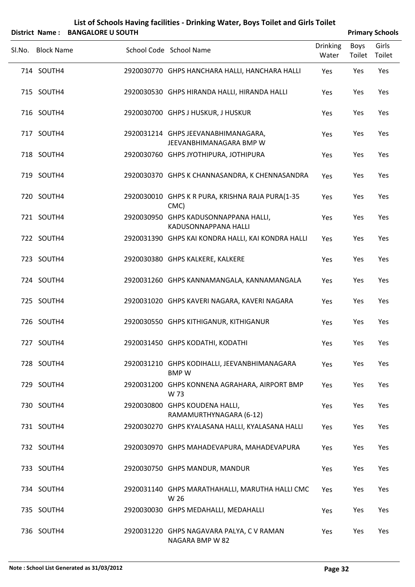|        |                   | District Name: BANGALORE U SOUTH |                                                                |                          |                       | <b>Primary Schools</b> |
|--------|-------------------|----------------------------------|----------------------------------------------------------------|--------------------------|-----------------------|------------------------|
| SI.No. | <b>Block Name</b> |                                  | School Code School Name                                        | <b>Drinking</b><br>Water | <b>Boys</b><br>Toilet | Girls<br>Toilet        |
|        | 714 SOUTH4        |                                  | 2920030770 GHPS HANCHARA HALLI, HANCHARA HALLI                 | Yes                      | Yes                   | Yes                    |
|        | 715 SOUTH4        |                                  | 2920030530 GHPS HIRANDA HALLI, HIRANDA HALLI                   | Yes                      | Yes                   | Yes                    |
|        | 716 SOUTH4        |                                  | 2920030700 GHPS J HUSKUR, J HUSKUR                             | Yes                      | Yes                   | Yes                    |
|        | 717 SOUTH4        |                                  | 2920031214 GHPS JEEVANABHIMANAGARA,<br>JEEVANBHIMANAGARA BMP W | Yes                      | Yes                   | Yes                    |
|        | 718 SOUTH4        |                                  | 2920030760 GHPS JYOTHIPURA, JOTHIPURA                          | Yes                      | Yes                   | Yes                    |
|        | 719 SOUTH4        |                                  | 2920030370 GHPS K CHANNASANDRA, K CHENNASANDRA                 | Yes                      | Yes                   | Yes                    |
|        | 720 SOUTH4        |                                  | 2920030010 GHPS K R PURA, KRISHNA RAJA PURA(1-35<br>CMC)       | Yes                      | Yes                   | Yes                    |
|        | 721 SOUTH4        |                                  | 2920030950 GHPS KADUSONNAPPANA HALLI,<br>KADUSONNAPPANA HALLI  | Yes                      | Yes                   | Yes                    |
|        | 722 SOUTH4        |                                  | 2920031390 GHPS KAI KONDRA HALLI, KAI KONDRA HALLI             | Yes                      | Yes                   | Yes                    |
|        | 723 SOUTH4        |                                  | 2920030380 GHPS KALKERE, KALKERE                               | Yes                      | Yes                   | Yes                    |
|        | 724 SOUTH4        |                                  | 2920031260 GHPS KANNAMANGALA, KANNAMANGALA                     | Yes                      | Yes                   | Yes                    |
|        | 725 SOUTH4        |                                  | 2920031020 GHPS KAVERI NAGARA, KAVERI NAGARA                   | Yes                      | Yes                   | Yes                    |
|        | 726 SOUTH4        |                                  | 2920030550 GHPS KITHIGANUR, KITHIGANUR                         | Yes                      | Yes                   | Yes                    |
|        | 727 SOUTH4        |                                  | 2920031450 GHPS KODATHI, KODATHI                               | Yes                      | Yes                   | Yes                    |
|        | 728 SOUTH4        |                                  | 2920031210 GHPS KODIHALLI, JEEVANBHIMANAGARA<br><b>BMPW</b>    | Yes                      | Yes                   | Yes                    |
|        | 729 SOUTH4        |                                  | 2920031200 GHPS KONNENA AGRAHARA, AIRPORT BMP<br>W 73          | Yes                      | Yes                   | Yes                    |
|        | 730 SOUTH4        |                                  | 2920030800 GHPS KOUDENA HALLI,<br>RAMAMURTHYNAGARA (6-12)      | Yes                      | Yes                   | Yes                    |
|        | 731 SOUTH4        |                                  | 2920030270 GHPS KYALASANA HALLI, KYALASANA HALLI               | Yes                      | Yes                   | Yes                    |
|        | 732 SOUTH4        |                                  | 2920030970 GHPS MAHADEVAPURA, MAHADEVAPURA                     | Yes                      | Yes                   | Yes                    |
|        | 733 SOUTH4        |                                  | 2920030750 GHPS MANDUR, MANDUR                                 | Yes                      | Yes                   | Yes                    |
|        | 734 SOUTH4        |                                  | 2920031140 GHPS MARATHAHALLI, MARUTHA HALLI CMC<br>W 26        | Yes                      | Yes                   | Yes                    |
|        | 735 SOUTH4        |                                  | 2920030030 GHPS MEDAHALLI, MEDAHALLI                           | Yes                      | Yes                   | Yes                    |
|        | 736 SOUTH4        |                                  | 2920031220 GHPS NAGAVARA PALYA, C V RAMAN                      | Yes                      | Yes                   | Yes                    |

NAGARA BMP W 82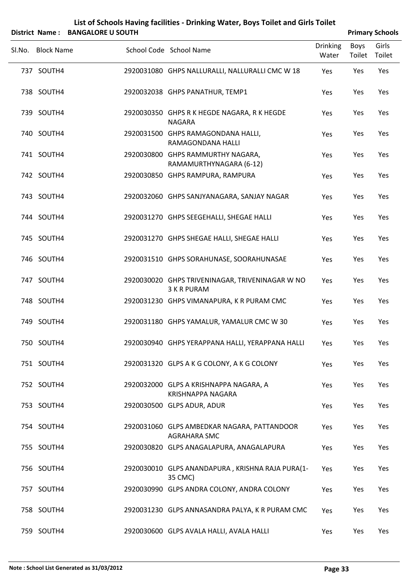| List of Schools Having facilities - Drinking Water, Boys Toilet and Girls Toilet |                        |
|----------------------------------------------------------------------------------|------------------------|
| District Name: RANGALORE II SOLITH                                               | <b>Primary Schools</b> |

| PISUILL INGHIC.<br><b>DAINUALUNE U JUUTH</b> |                                                                    |                          | <b>FIIIIIAI Y JUIUUIS</b> |                 |
|----------------------------------------------|--------------------------------------------------------------------|--------------------------|---------------------------|-----------------|
| Sl.No. Block Name                            | School Code School Name                                            | <b>Drinking</b><br>Water | Boys<br>Toilet            | Girls<br>Toilet |
| 737 SOUTH4                                   | 2920031080 GHPS NALLURALLI, NALLURALLI CMC W 18                    | Yes                      | Yes                       | Yes             |
| 738 SOUTH4                                   | 2920032038 GHPS PANATHUR, TEMP1                                    | Yes                      | Yes                       | Yes             |
| 739 SOUTH4                                   | 2920030350 GHPS R K HEGDE NAGARA, R K HEGDE<br><b>NAGARA</b>       | Yes                      | Yes                       | Yes             |
| 740 SOUTH4                                   | 2920031500 GHPS RAMAGONDANA HALLI,<br>RAMAGONDANA HALLI            | Yes                      | Yes                       | Yes             |
| 741 SOUTH4                                   | 2920030800 GHPS RAMMURTHY NAGARA,<br>RAMAMURTHYNAGARA (6-12)       | Yes                      | Yes                       | Yes             |
| 742 SOUTH4                                   | 2920030850 GHPS RAMPURA, RAMPURA                                   | Yes                      | Yes                       | Yes             |
| 743 SOUTH4                                   | 2920032060 GHPS SANJYANAGARA, SANJAY NAGAR                         | Yes                      | Yes                       | Yes             |
| 744 SOUTH4                                   | 2920031270 GHPS SEEGEHALLI, SHEGAE HALLI                           | Yes                      | Yes                       | Yes             |
| 745 SOUTH4                                   | 2920031270 GHPS SHEGAE HALLI, SHEGAE HALLI                         | Yes                      | Yes                       | Yes             |
| 746 SOUTH4                                   | 2920031510 GHPS SORAHUNASE, SOORAHUNASAE                           | Yes                      | Yes                       | Yes             |
| 747 SOUTH4                                   | 2920030020 GHPS TRIVENINAGAR, TRIVENINAGAR W NO<br>3 K R PURAM     | Yes                      | Yes                       | Yes             |
| 748 SOUTH4                                   | 2920031230 GHPS VIMANAPURA, K R PURAM CMC                          | Yes                      | Yes                       | Yes             |
| 749 SOUTH4                                   | 2920031180 GHPS YAMALUR, YAMALUR CMC W 30                          | Yes                      | Yes                       | Yes             |
| 750 SOUTH4                                   | 2920030940 GHPS YERAPPANA HALLI, YERAPPANA HALLI                   | Yes                      | Yes                       | Yes             |
| 751 SOUTH4                                   | 2920031320 GLPS A K G COLONY, A K G COLONY                         | Yes                      | Yes                       | Yes             |
| 752 SOUTH4                                   | 2920032000 GLPS A KRISHNAPPA NAGARA, A<br><b>KRISHNAPPA NAGARA</b> | Yes                      | Yes                       | Yes             |
| 753 SOUTH4                                   | 2920030500 GLPS ADUR, ADUR                                         | Yes                      | Yes                       | Yes             |
| 754 SOUTH4                                   | 2920031060 GLPS AMBEDKAR NAGARA, PATTANDOOR<br>AGRAHARA SMC        | Yes                      | Yes                       | Yes             |
| 755 SOUTH4                                   | 2920030820 GLPS ANAGALAPURA, ANAGALAPURA                           | Yes                      | Yes                       | Yes             |
| 756 SOUTH4                                   | 2920030010 GLPS ANANDAPURA, KRISHNA RAJA PURA(1-<br>35 CMC)        | Yes                      | Yes                       | Yes             |
| 757 SOUTH4                                   | 2920030990 GLPS ANDRA COLONY, ANDRA COLONY                         | Yes                      | Yes                       | Yes             |
| 758 SOUTH4                                   | 2920031230 GLPS ANNASANDRA PALYA, K R PURAM CMC                    | Yes                      | Yes                       | Yes             |
| 759 SOUTH4                                   | 2920030600 GLPS AVALA HALLI, AVALA HALLI                           | Yes                      | Yes                       | Yes             |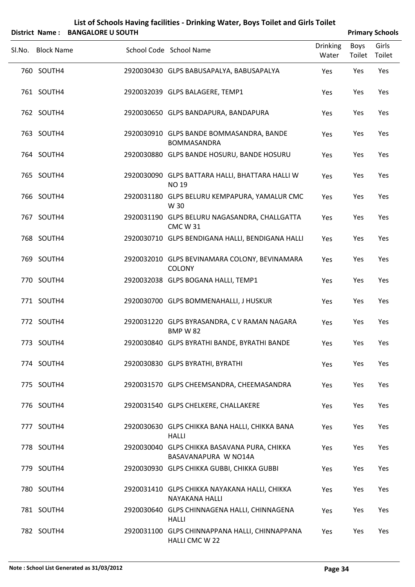| List of Schools Having facilities - Drinking Water, Boys Toilet and Girls Toilet |
|----------------------------------------------------------------------------------|
|                                                                                  |

|        | District Name: BANGALORE U SOUTH |                                                                      |                          |                | <b>Primary Schools</b> |
|--------|----------------------------------|----------------------------------------------------------------------|--------------------------|----------------|------------------------|
| Sl.No. | <b>Block Name</b>                | School Code School Name                                              | <b>Drinking</b><br>Water | Boys<br>Toilet | Girls<br>Toilet        |
|        | 760 SOUTH4                       | 2920030430 GLPS BABUSAPALYA, BABUSAPALYA                             | Yes                      | Yes            | Yes                    |
|        | 761 SOUTH4                       | 2920032039 GLPS BALAGERE, TEMP1                                      | Yes                      | Yes            | Yes                    |
|        | 762 SOUTH4                       | 2920030650 GLPS BANDAPURA, BANDAPURA                                 | Yes                      | Yes            | Yes                    |
|        | 763 SOUTH4                       | 2920030910 GLPS BANDE BOMMASANDRA, BANDE<br><b>BOMMASANDRA</b>       | Yes                      | Yes            | Yes                    |
|        | 764 SOUTH4                       | 2920030880 GLPS BANDE HOSURU, BANDE HOSURU                           | Yes                      | Yes            | Yes                    |
|        | 765 SOUTH4                       | 2920030090 GLPS BATTARA HALLI, BHATTARA HALLI W<br><b>NO 19</b>      | Yes                      | Yes            | Yes                    |
|        | 766 SOUTH4                       | 2920031180 GLPS BELURU KEMPAPURA, YAMALUR CMC<br>W 30                | Yes                      | Yes            | Yes                    |
|        | 767 SOUTH4                       | 2920031190 GLPS BELURU NAGASANDRA, CHALLGATTA<br><b>CMC W31</b>      | Yes                      | Yes            | Yes                    |
|        | 768 SOUTH4                       | 2920030710 GLPS BENDIGANA HALLI, BENDIGANA HALLI                     | Yes                      | Yes            | Yes                    |
|        | 769 SOUTH4                       | 2920032010 GLPS BEVINAMARA COLONY, BEVINAMARA<br><b>COLONY</b>       | Yes                      | Yes            | Yes                    |
|        | 770 SOUTH4                       | 2920032038 GLPS BOGANA HALLI, TEMP1                                  | Yes                      | Yes            | Yes                    |
|        | 771 SOUTH4                       | 2920030700 GLPS BOMMENAHALLI, J HUSKUR                               | Yes                      | Yes            | Yes                    |
|        | 772 SOUTH4                       | 2920031220 GLPS BYRASANDRA, C V RAMAN NAGARA<br><b>BMP W 82</b>      | Yes                      | Yes            | Yes                    |
|        | 773 SOUTH4                       | 2920030840 GLPS BYRATHI BANDE, BYRATHI BANDE                         | Yes                      | Yes            | Yes                    |
|        | 774 SOUTH4                       | 2920030830 GLPS BYRATHI, BYRATHI                                     | Yes                      | Yes            | Yes                    |
|        | 775 SOUTH4                       | 2920031570 GLPS CHEEMSANDRA, CHEEMASANDRA                            | Yes                      | Yes            | Yes                    |
|        | 776 SOUTH4                       | 2920031540 GLPS CHELKERE, CHALLAKERE                                 | Yes                      | Yes            | Yes                    |
|        | 777 SOUTH4                       | 2920030630 GLPS CHIKKA BANA HALLI, CHIKKA BANA<br><b>HALLI</b>       | Yes                      | Yes            | Yes                    |
|        | 778 SOUTH4                       | 2920030040 GLPS CHIKKA BASAVANA PURA, CHIKKA<br>BASAVANAPURA W NO14A | Yes                      | Yes            | Yes                    |
|        | 779 SOUTH4                       | 2920030930 GLPS CHIKKA GUBBI, CHIKKA GUBBI                           | Yes                      | Yes            | Yes                    |
|        | 780 SOUTH4                       | 2920031410 GLPS CHIKKA NAYAKANA HALLI, CHIKKA<br>NAYAKANA HALLI      | Yes                      | Yes            | Yes                    |
|        | 781 SOUTH4                       | 2920030640 GLPS CHINNAGENA HALLI, CHINNAGENA<br><b>HALLI</b>         | Yes                      | Yes            | Yes                    |
|        | 782 SOUTH4                       | 2920031100 GLPS CHINNAPPANA HALLI, CHINNAPPANA<br>HALLI CMC W 22     | Yes                      | Yes            | Yes                    |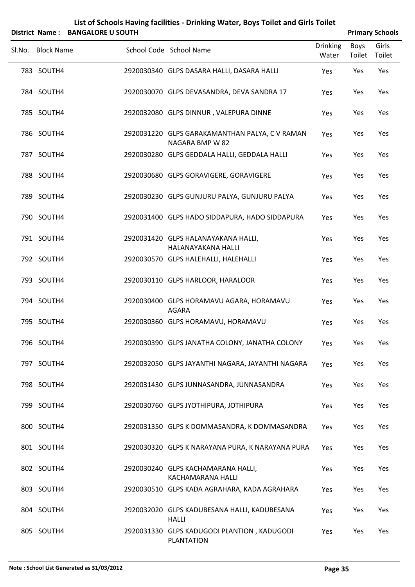|                   | District Name: BANGALORE U SOUTH |                                                                   |                          |                | <b>Primary Schools</b> |
|-------------------|----------------------------------|-------------------------------------------------------------------|--------------------------|----------------|------------------------|
| Sl.No. Block Name |                                  | School Code School Name                                           | <b>Drinking</b><br>Water | Boys<br>Toilet | Girls<br>Toilet        |
| 783 SOUTH4        |                                  | 2920030340 GLPS DASARA HALLI, DASARA HALLI                        | Yes                      | Yes            | Yes                    |
| 784 SOUTH4        |                                  | 2920030070 GLPS DEVASANDRA, DEVA SANDRA 17                        | Yes                      | Yes            | Yes                    |
| 785 SOUTH4        |                                  | 2920032080 GLPS DINNUR, VALEPURA DINNE                            | Yes                      | Yes            | Yes                    |
| 786 SOUTH4        |                                  | 2920031220 GLPS GARAKAMANTHAN PALYA, C V RAMAN<br>NAGARA BMP W 82 | Yes                      | Yes            | Yes                    |
| 787 SOUTH4        |                                  | 2920030280 GLPS GEDDALA HALLI, GEDDALA HALLI                      | Yes                      | Yes            | Yes                    |
| 788 SOUTH4        |                                  | 2920030680 GLPS GORAVIGERE, GORAVIGERE                            | Yes                      | Yes            | Yes                    |
| 789 SOUTH4        |                                  | 2920030230 GLPS GUNJURU PALYA, GUNJURU PALYA                      | Yes                      | Yes            | Yes                    |
| 790 SOUTH4        |                                  | 2920031400 GLPS HADO SIDDAPURA, HADO SIDDAPURA                    | Yes                      | Yes            | Yes                    |
| 791 SOUTH4        |                                  | 2920031420 GLPS HALANAYAKANA HALLI,<br>HALANAYAKANA HALLI         | Yes                      | Yes            | Yes                    |
| 792 SOUTH4        |                                  | 2920030570 GLPS HALEHALLI, HALEHALLI                              | Yes                      | Yes            | Yes                    |
| 793 SOUTH4        |                                  | 2920030110 GLPS HARLOOR, HARALOOR                                 | Yes                      | Yes            | Yes                    |
| 794 SOUTH4        |                                  | 2920030400 GLPS HORAMAVU AGARA, HORAMAVU<br><b>AGARA</b>          | Yes                      | Yes            | Yes                    |
| 795 SOUTH4        |                                  | 2920030360 GLPS HORAMAVU, HORAMAVU                                | Yes                      | Yes            | Yes                    |
| 796 SOUTH4        |                                  | 2920030390 GLPS JANATHA COLONY, JANATHA COLONY                    | Yes                      | Yes            | Yes                    |
| 797 SOUTH4        |                                  | 2920032050 GLPS JAYANTHI NAGARA, JAYANTHI NAGARA                  | Yes                      | Yes            | Yes                    |
| 798 SOUTH4        |                                  | 2920031430 GLPS JUNNASANDRA, JUNNASANDRA                          | Yes                      | Yes            | Yes                    |
| 799 SOUTH4        |                                  | 2920030760 GLPS JYOTHIPURA, JOTHIPURA                             | Yes                      | Yes            | Yes                    |
| 800 SOUTH4        |                                  | 2920031350 GLPS K DOMMASANDRA, K DOMMASANDRA                      | Yes                      | Yes            | Yes                    |
| 801 SOUTH4        |                                  | 2920030320 GLPS K NARAYANA PURA, K NARAYANA PURA                  | Yes                      | Yes            | Yes                    |
| 802 SOUTH4        |                                  | 2920030240 GLPS KACHAMARANA HALLI,<br>KACHAMARANA HALLI           | Yes                      | Yes            | Yes                    |
| 803 SOUTH4        |                                  | 2920030510 GLPS KADA AGRAHARA, KADA AGRAHARA                      | Yes                      | Yes            | Yes                    |
| 804 SOUTH4        |                                  | 2920032020 GLPS KADUBESANA HALLI, KADUBESANA<br><b>HALLI</b>      | Yes                      | Yes            | Yes                    |
| 805 SOUTH4        |                                  | 2920031330 GLPS KADUGODI PLANTION, KADUGODI                       | Yes                      | Yes            | Yes                    |

PLANTATION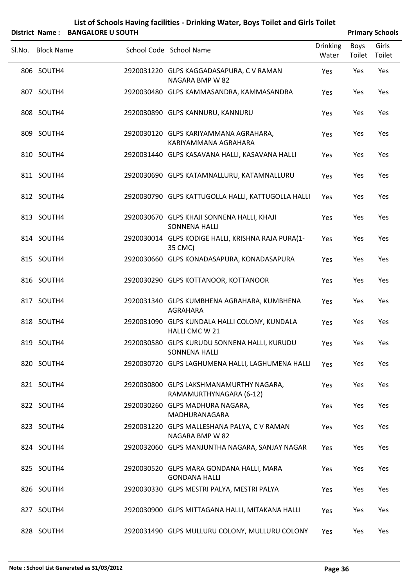|                 | List of Schools Having facilities - Drinking Water, Boys Toilet and Girls Toilet |
|-----------------|----------------------------------------------------------------------------------|
| triat Namaa , l | <b>DANCALODE IL COLITU</b>                                                       |

|        | District Name: BANGALORE U SOUTH |                                                                      |                          |                | <b>Primary Schools</b> |
|--------|----------------------------------|----------------------------------------------------------------------|--------------------------|----------------|------------------------|
| Sl.No. | <b>Block Name</b>                | School Code School Name                                              | <b>Drinking</b><br>Water | Boys<br>Toilet | Girls<br>Toilet        |
|        | 806 SOUTH4                       | 2920031220 GLPS KAGGADASAPURA, C V RAMAN<br>NAGARA BMP W 82          | Yes                      | Yes            | Yes                    |
|        | 807 SOUTH4                       | 2920030480 GLPS KAMMASANDRA, KAMMASANDRA                             | Yes                      | Yes            | Yes                    |
|        | 808 SOUTH4                       | 2920030890 GLPS KANNURU, KANNURU                                     | Yes                      | Yes            | Yes                    |
|        | 809 SOUTH4                       | 2920030120 GLPS KARIYAMMANA AGRAHARA,<br>KARIYAMMANA AGRAHARA        | Yes                      | Yes            | Yes                    |
|        | 810 SOUTH4                       | 2920031440 GLPS KASAVANA HALLI, KASAVANA HALLI                       | Yes                      | Yes            | Yes                    |
|        | 811 SOUTH4                       | 2920030690 GLPS KATAMNALLURU, KATAMNALLURU                           | Yes                      | Yes            | Yes                    |
|        | 812 SOUTH4                       | 2920030790 GLPS KATTUGOLLA HALLI, KATTUGOLLA HALLI                   | Yes                      | Yes            | Yes                    |
|        | 813 SOUTH4                       | 2920030670 GLPS KHAJI SONNENA HALLI, KHAJI<br><b>SONNENA HALLI</b>   | Yes                      | Yes            | Yes                    |
|        | 814 SOUTH4                       | 2920030014 GLPS KODIGE HALLI, KRISHNA RAJA PURA(1-<br>35 CMC)        | Yes                      | Yes            | Yes                    |
|        | 815 SOUTH4                       | 2920030660 GLPS KONADASAPURA, KONADASAPURA                           | Yes                      | Yes            | Yes                    |
|        | 816 SOUTH4                       | 2920030290 GLPS KOTTANOOR, KOTTANOOR                                 | Yes                      | Yes            | Yes                    |
|        | 817 SOUTH4                       | 2920031340 GLPS KUMBHENA AGRAHARA, KUMBHENA<br>AGRAHARA              | Yes                      | Yes            | Yes                    |
|        | 818 SOUTH4                       | 2920031090 GLPS KUNDALA HALLI COLONY, KUNDALA<br>HALLI CMC W 21      | Yes                      | Yes            | Yes                    |
|        | 819 SOUTH4                       | 2920030580 GLPS KURUDU SONNENA HALLI, KURUDU<br><b>SONNENA HALLI</b> | Yes                      | Yes            | Yes                    |
|        | 820 SOUTH4                       | 2920030720 GLPS LAGHUMENA HALLI, LAGHUMENA HALLI                     | Yes                      | Yes            | Yes                    |
|        | 821 SOUTH4                       | 2920030800 GLPS LAKSHMANAMURTHY NAGARA,<br>RAMAMURTHYNAGARA (6-12)   | Yes                      | Yes            | Yes                    |
|        | 822 SOUTH4                       | 2920030260 GLPS MADHURA NAGARA,<br>MADHURANAGARA                     | Yes                      | Yes            | Yes                    |
|        | 823 SOUTH4                       | 2920031220 GLPS MALLESHANA PALYA, C V RAMAN<br>NAGARA BMP W 82       | Yes                      | Yes            | Yes                    |
|        | 824 SOUTH4                       | 2920032060 GLPS MANJUNTHA NAGARA, SANJAY NAGAR                       | Yes                      | Yes            | Yes                    |
|        | 825 SOUTH4                       | 2920030520 GLPS MARA GONDANA HALLI, MARA<br><b>GONDANA HALLI</b>     | Yes                      | Yes            | Yes                    |
|        | 826 SOUTH4                       | 2920030330 GLPS MESTRI PALYA, MESTRI PALYA                           | Yes                      | Yes            | Yes                    |
|        | 827 SOUTH4                       | 2920030900 GLPS MITTAGANA HALLI, MITAKANA HALLI                      | <b>Yes</b>               | Yes            | Yes                    |
|        | 828 SOUTH4                       | 2920031490 GLPS MULLURU COLONY, MULLURU COLONY                       | Yes                      | Yes            | Yes                    |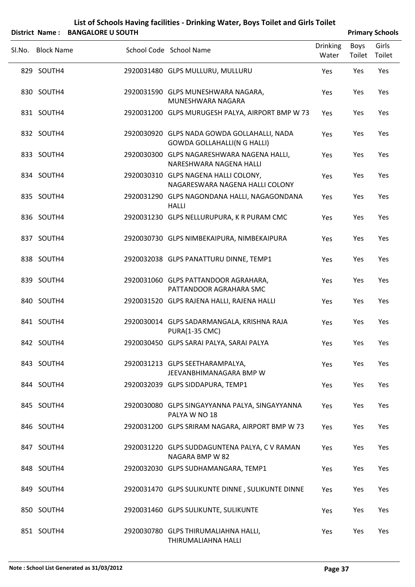SLNo. Block Name School Code School Name Drinking Water Boys Toilet Girls Toilet **District Name: BANGALORE U SOUTH Analyzis Company Primary** Schools 829 SOUTH4 2920031480 GLPS MULLURU, MULLURU Yes Yes Yes SOUTH4 2920031590 GLPS MUNESHWARA NAGARA, 830 Yes Yes Yes MUNESHWARA NAGARA 831 SOUTH4 2920031200 GLPS MURUGESH PALYA, AIRPORT BMP W 73 Yes Yes Yes SOUTH4 2920030920 GLPS NADA GOWDA GOLLAHALLI, NADA 832 Yes Yes Yes GOWDA GOLLAHALLI(N G HALLI) SOUTH4 2920030300 GLPS NAGARESHWARA NAGENA HALLI, 833 Yes Yes Yes NARESHWARA NAGENA HALLI SOUTH4 2920030310 GLPS NAGENA HALLI COLONY, 834 Yes Yes Yes NAGARESWARA NAGENA HALLI COLONY SOUTH4 2920031290 GLPS NAGONDANA HALLI, NAGAGONDANA 835 Yes Yes Yes HALLI 836 SOUTH4 2920031230 GLPS NELLURUPURA, K R PURAM CMC Yes Yes Yes 837 SOUTH4 2920030730 GLPS NIMBEKAIPURA, NIMBEKAIPURA Yes Yes Yes 838 SOUTH4 2920032038 GLPS PANATTURU DINNE, TEMP1 Yes Yes Yes SOUTH4 2920031060 GLPS PATTANDOOR AGRAHARA, 839 Yes Yes Yes PATTANDOOR AGRAHARA SMC 840 SOUTH4 2920031520 GLPS RAJENA HALLI, RAJENA HALLI Yes Yes Yes SOUTH4 2920030014 GLPS SADARMANGALA, KRISHNA RAJA 841 Yes Yes Yes PURA(1‐35 CMC) 842 SOUTH4 2920030450 GLPS SARAI PALYA, SARAI PALYA Yes Yes Yes SOUTH4 2920031213 GLPS SEETHARAMPALYA, 843 Yes Yes Yes JEEVANBHIMANAGARA BMP W 844 SOUTH4 2920032039 GLPS SIDDAPURA, TEMP1 Yes Yes Yes SOUTH4 2920030080 GLPS SINGAYYANNA PALYA, SINGAYYANNA 845 Yes Yes Yes PALYA W NO 18 846 SOUTH4 2920031200 GLPS SRIRAM NAGARA, AIRPORT BMP W 73 Yes Yes Yes SOUTH4 2920031220 GLPS SUDDAGUNTENA PALYA, C V RAMAN 847 Yes Yes Yes NAGARA BMP W 82 848 SOUTH4 2920032030 GLPS SUDHAMANGARA, TEMP1 Yes Yes Yes 849 SOUTH4 2920031470 GLPS SULIKUNTE DINNE , SULIKUNTE DINNE Yes Yes Yes 850 SOUTH4 2920031460 GLPS SULIKUNTE, SULIKUNTE Yes Yes Yes SOUTH4 2920030780 GLPS THIRUMALIAHNA HALLI, 851 Yes Yes Yes THIRUMALIAHNA HALLI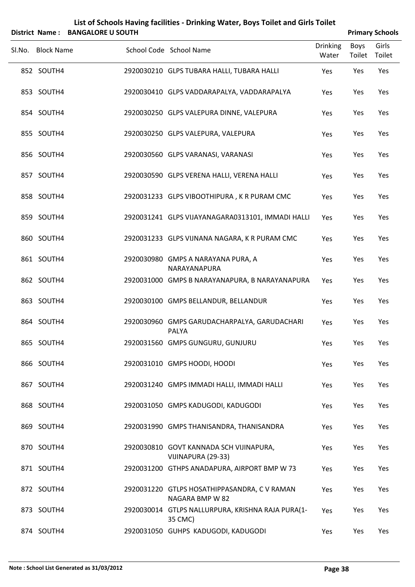|                   | District Name: BANGALORE U SOUTH |                                                                 |                          |                       | <b>Primary Schools</b> |
|-------------------|----------------------------------|-----------------------------------------------------------------|--------------------------|-----------------------|------------------------|
| Sl.No. Block Name |                                  | School Code School Name                                         | <b>Drinking</b><br>Water | <b>Boys</b><br>Toilet | Girls<br>Toilet        |
| 852 SOUTH4        |                                  | 2920030210 GLPS TUBARA HALLI, TUBARA HALLI                      | Yes                      | Yes                   | Yes                    |
| 853 SOUTH4        |                                  | 2920030410 GLPS VADDARAPALYA, VADDARAPALYA                      | Yes                      | Yes                   | Yes                    |
| 854 SOUTH4        |                                  | 2920030250 GLPS VALEPURA DINNE, VALEPURA                        | Yes                      | Yes                   | Yes                    |
| 855 SOUTH4        |                                  | 2920030250 GLPS VALEPURA, VALEPURA                              | Yes                      | Yes                   | Yes                    |
| 856 SOUTH4        |                                  | 2920030560 GLPS VARANASI, VARANASI                              | Yes                      | Yes                   | Yes                    |
| 857 SOUTH4        |                                  | 2920030590 GLPS VERENA HALLI, VERENA HALLI                      | Yes                      | Yes                   | Yes                    |
| 858 SOUTH4        |                                  | 2920031233 GLPS VIBOOTHIPURA, K R PURAM CMC                     | Yes                      | Yes                   | Yes                    |
| 859 SOUTH4        |                                  | 2920031241 GLPS VIJAYANAGARA0313101, IMMADI HALLI               | Yes                      | Yes                   | Yes                    |
| 860 SOUTH4        |                                  | 2920031233 GLPS VIJNANA NAGARA, K R PURAM CMC                   | Yes                      | Yes                   | Yes                    |
| 861 SOUTH4        |                                  | 2920030980 GMPS A NARAYANA PURA, A<br>NARAYANAPURA              | Yes                      | Yes                   | Yes                    |
| 862 SOUTH4        |                                  | 2920031000 GMPS B NARAYANAPURA, B NARAYANAPURA                  | Yes                      | Yes                   | Yes                    |
| 863 SOUTH4        |                                  | 2920030100 GMPS BELLANDUR, BELLANDUR                            | Yes                      | Yes                   | Yes                    |
| 864 SOUTH4        |                                  | 2920030960 GMPS GARUDACHARPALYA, GARUDACHARI<br>PALYA           | Yes                      | Yes                   | Yes                    |
| 865 SOUTH4        |                                  | 2920031560 GMPS GUNGURU, GUNJURU                                | Yes                      | Yes                   | Yes                    |
| 866 SOUTH4        |                                  | 2920031010 GMPS HOODI, HOODI                                    | Yes                      | Yes                   | Yes                    |
| 867 SOUTH4        |                                  | 2920031240 GMPS IMMADI HALLI, IMMADI HALLI                      | Yes                      | Yes                   | Yes                    |
| 868 SOUTH4        |                                  | 2920031050 GMPS KADUGODI, KADUGODI                              | Yes                      | Yes                   | Yes                    |
| 869 SOUTH4        |                                  | 2920031990 GMPS THANISANDRA, THANISANDRA                        | Yes                      | Yes                   | Yes                    |
| 870 SOUTH4        |                                  | 2920030810 GOVT KANNADA SCH VIJINAPURA,<br>VIJINAPURA (29-33)   | Yes                      | Yes                   | Yes                    |
| 871 SOUTH4        |                                  | 2920031200 GTHPS ANADAPURA, AIRPORT BMP W 73                    | Yes                      | Yes                   | Yes                    |
| 872 SOUTH4        |                                  | 2920031220 GTLPS HOSATHIPPASANDRA, C V RAMAN<br>NAGARA BMP W 82 | Yes                      | Yes                   | Yes                    |
| 873 SOUTH4        |                                  | 2920030014 GTLPS NALLURPURA, KRISHNA RAJA PURA(1-<br>35 CMC)    | Yes                      | Yes                   | Yes                    |
| 874 SOUTH4        |                                  | 2920031050 GUHPS KADUGODI, KADUGODI                             | Yes                      | Yes                   | Yes                    |